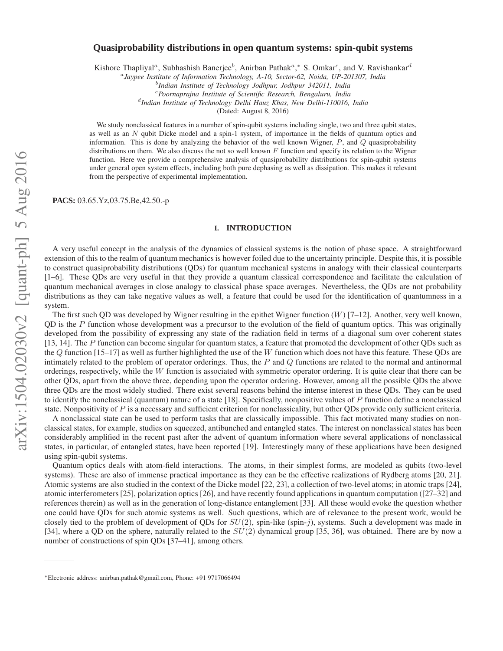# **Quasiprobability distributions in open quantum systems: spin-qubit systems**

Kishore Thapliyal<sup>a</sup>, Subhashish Banerjee<sup>b</sup>, Anirban Pathak<sup>a</sup>,\* S. Omkar<sup>c</sup>, and V. Ravishankar<sup>d</sup>

a *Jaypee Institute of Information Technology, A-10, Sector-62, Noida, UP-201307, India*

<sup>c</sup>*Poornaprajna Institute of Scientific Research, Bengaluru, India*

d *Indian Institute of Technology Delhi Hauz Khas, New Delhi-110016, India*

(Dated: August 8, 2016)

We study nonclassical features in a number of spin-qubit systems including single, two and three qubit states, as well as an N qubit Dicke model and a spin-1 system, of importance in the fields of quantum optics and information. This is done by analyzing the behavior of the well known Wigner,  $P$ , and  $Q$  quasiprobability distributions on them. We also discuss the not so well known  $F$  function and specify its relation to the Wigner function. Here we provide a comprehensive analysis of quasiprobability distributions for spin-qubit systems under general open system effects, including both pure dephasing as well as dissipation. This makes it relevant from the perspective of experimental implementation.

**PACS:** 03.65.Yz,03.75.Be,42.50.-p

## **I. INTRODUCTION**

A very useful concept in the analysis of the dynamics of classical systems is the notion of phase space. A straightforward extension of this to the realm of quantum mechanics is however foiled due to the uncertainty principle. Despite this, it is possible to construct quasiprobability distributions (QDs) for quantum mechanical systems in analogy with their classical counterparts [1–6]. These QDs are very useful in that they provide a quantum classical correspondence and facilitate the calculation of quantum mechanical averages in close analogy to classical phase space averages. Nevertheless, the QDs are not probability distributions as they can take negative values as well, a feature that could be used for the identification of quantumness in a system.

The first such QD was developed by Wigner resulting in the epithet Wigner function  $(W)$  [7–12]. Another, very well known, QD is the  $P$  function whose development was a precursor to the evolution of the field of quantum optics. This was originally developed from the possibility of expressing any state of the radiation field in terms of a diagonal sum over coherent states [13, 14]. The P function can become singular for quantum states, a feature that promoted the development of other QDs such as the  $Q$  function [15–17] as well as further highlighted the use of the W function which does not have this feature. These QDs are intimately related to the problem of operator orderings. Thus, the  $P$  and  $Q$  functions are related to the normal and antinormal orderings, respectively, while the W function is associated with symmetric operator ordering. It is quite clear that there can be other QDs, apart from the above three, depending upon the operator ordering. However, among all the possible QDs the above three QDs are the most widely studied. There exist several reasons behind the intense interest in these QDs. They can be used to identify the nonclassical (quantum) nature of a state [18]. Specifically, nonpositive values of P function define a nonclassical state. Nonpositivity of  $P$  is a necessary and sufficient criterion for nonclassicality, but other QDs provide only sufficient criteria.

A nonclassical state can be used to perform tasks that are classically impossible. This fact motivated many studies on nonclassical states, for example, studies on squeezed, antibunched and entangled states. The interest on nonclassical states has been considerably amplified in the recent past after the advent of quantum information where several applications of nonclassical states, in particular, of entangled states, have been reported [19]. Interestingly many of these applications have been designed using spin-qubit systems.

Quantum optics deals with atom-field interactions. The atoms, in their simplest forms, are modeled as qubits (two-level systems). These are also of immense practical importance as they can be the effective realizations of Rydberg atoms [20, 21]. Atomic systems are also studied in the context of the Dicke model [22, 23], a collection of two-level atoms; in atomic traps [24], atomic interferometers [25], polarization optics [26], and have recently found applications in quantum computation ([27–32] and references therein) as well as in the generation of long-distance entanglement [33]. All these would evoke the question whether one could have QDs for such atomic systems as well. Such questions, which are of relevance to the present work, would be closely tied to the problem of development of QDs for  $SU(2)$ , spin-like (spin-j), systems. Such a development was made in [34], where a OD on the sphere, naturally related to the  $SU(2)$  dynamical group [35, 36], was obtained. There are by now a number of constructions of spin QDs [37–41], among others.

b *Indian Institute of Technology Jodhpur, Jodhpur 342011, India*

<sup>∗</sup>Electronic address: anirban.pathak@gmail.com, Phone: +91 9717066494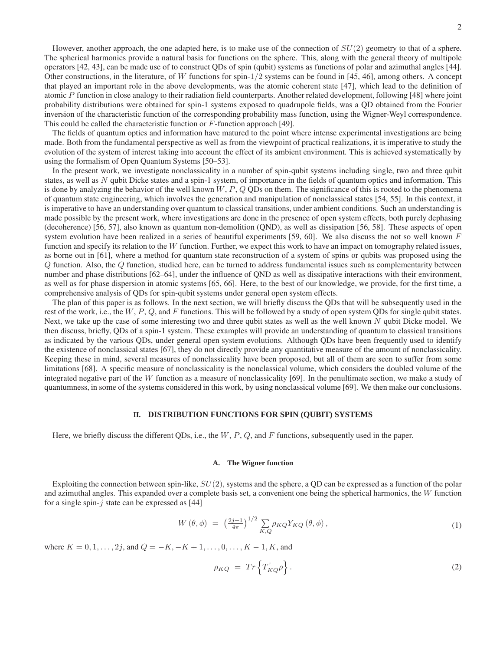2

However, another approach, the one adapted here, is to make use of the connection of  $SU(2)$  geometry to that of a sphere. The spherical harmonics provide a natural basis for functions on the sphere. This, along with the general theory of multipole operators [42, 43], can be made use of to construct QDs of spin (qubit) systems as functions of polar and azimuthal angles [44]. Other constructions, in the literature, of W functions for spin- $1/2$  systems can be found in [45, 46], among others. A concept that played an important role in the above developments, was the atomic coherent state [47], which lead to the definition of atomic P function in close analogy to their radiation field counterparts. Another related development, following [48] where joint probability distributions were obtained for spin-1 systems exposed to quadrupole fields, was a QD obtained from the Fourier inversion of the characteristic function of the corresponding probability mass function, using the Wigner-Weyl correspondence. This could be called the characteristic function or F-function approach [49].

The fields of quantum optics and information have matured to the point where intense experimental investigations are being made. Both from the fundamental perspective as well as from the viewpoint of practical realizations, it is imperative to study the evolution of the system of interest taking into account the effect of its ambient environment. This is achieved systematically by using the formalism of Open Quantum Systems [50–53].

In the present work, we investigate nonclassicality in a number of spin-qubit systems including single, two and three qubit states, as well as N qubit Dicke states and a spin-1 system, of importance in the fields of quantum optics and information. This is done by analyzing the behavior of the well known  $W, P, Q$  QDs on them. The significance of this is rooted to the phenomena of quantum state engineering, which involves the generation and manipulation of nonclassical states [54, 55]. In this context, it is imperative to have an understanding over quantum to classical transitions, under ambient conditions. Such an understanding is made possible by the present work, where investigations are done in the presence of open system effects, both purely dephasing (decoherence) [56, 57], also known as quantum non-demolition (QND), as well as dissipation [56, 58]. These aspects of open system evolution have been realized in a series of beautiful experiments [59, 60]. We also discuss the not so well known  $F$ function and specify its relation to the W function. Further, we expect this work to have an impact on tomography related issues, as borne out in [61], where a method for quantum state reconstruction of a system of spins or qubits was proposed using the Q function. Also, the Q function, studied here, can be turned to address fundamental issues such as complementarity between number and phase distributions [62–64], under the influence of QND as well as dissipative interactions with their environment, as well as for phase dispersion in atomic systems [65, 66]. Here, to the best of our knowledge, we provide, for the first time, a comprehensive analysis of QDs for spin-qubit systems under general open system effects.

The plan of this paper is as follows. In the next section, we will briefly discuss the QDs that will be subsequently used in the rest of the work, i.e., the  $W, P, Q$ , and F functions. This will be followed by a study of open system QDs for single qubit states. Next, we take up the case of some interesting two and three qubit states as well as the well known  $N$  qubit Dicke model. We then discuss, briefly, QDs of a spin-1 system. These examples will provide an understanding of quantum to classical transitions as indicated by the various QDs, under general open system evolutions. Although QDs have been frequently used to identify the existence of nonclassical states [67], they do not directly provide any quantitative measure of the amount of nonclassicality. Keeping these in mind, several measures of nonclassicality have been proposed, but all of them are seen to suffer from some limitations [68]. A specific measure of nonclassicality is the nonclassical volume, which considers the doubled volume of the integrated negative part of the W function as a measure of nonclassicality [69]. In the penultimate section, we make a study of quantumness, in some of the systems considered in this work, by using nonclassical volume [69]. We then make our conclusions.

## **II. DISTRIBUTION FUNCTIONS FOR SPIN (QUBIT) SYSTEMS**

Here, we briefly discuss the different QDs, i.e., the  $W, P, Q$ , and F functions, subsequently used in the paper.

## **A. The Wigner function**

Exploiting the connection between spin-like,  $SU(2)$ , systems and the sphere, a QD can be expressed as a function of the polar and azimuthal angles. This expanded over a complete basis set, a convenient one being the spherical harmonics, the W function for a single spin- $\dot{\gamma}$  state can be expressed as [44]

$$
W(\theta,\phi) = \left(\frac{2j+1}{4\pi}\right)^{1/2} \sum_{K,Q} \rho_{KQ} Y_{KQ}(\theta,\phi), \qquad (1)
$$

where  $K = 0, 1, \ldots, 2j$ , and  $Q = -K, -K + 1, \ldots, 0, \ldots, K - 1, K$ , and

$$
\rho_{KQ} = Tr \left\{ T_{KQ}^{\dagger} \rho \right\}.
$$
\n(2)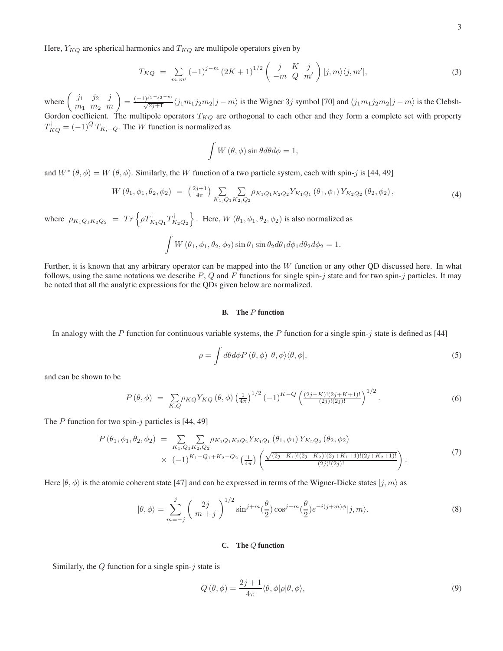Here,  $Y_{KQ}$  are spherical harmonics and  $T_{KQ}$  are multipole operators given by

$$
T_{KQ} = \sum_{m,m'} (-1)^{j-m} (2K+1)^{1/2} \begin{pmatrix} j & K & j \\ -m & Q & m' \end{pmatrix} |j,m\rangle \langle j,m'|,
$$
 (3)

where  $\begin{pmatrix} j_1 & j_2 & j \\ m & m & m \end{pmatrix}$  $m_1$   $m_2$   $m$  $\binom{(-1)^{j_1-j_2-m}}{\sqrt{2j_1+1}}\langle j_1m_1j_2m_2|j-m\rangle$  is the Wigner 3j symbol [70] and  $\langle j_1m_1j_2m_2|j-m\rangle$  is the Clebsh-Gordon coefficient. The multipole operators  $T_{KQ}$  are orthogonal to each other and they form a complete set with property  $T_{KQ}^{\dagger} = (-1)^{Q} T_{K,-Q}$ . The W function is normalized as

$$
\int W(\theta,\phi)\sin\theta d\theta d\phi = 1,
$$

and  $W^* (\theta, \phi) = W (\theta, \phi)$ . Similarly, the W function of a two particle system, each with spin-j is [44, 49]

$$
W(\theta_1, \phi_1, \theta_2, \phi_2) = \left(\frac{2j+1}{4\pi}\right) \sum_{K_1, Q_1 K_2, Q_2} \sum_{K_1, Q_1 K_2 Q_2} \gamma_{K_1 Q_1}(\theta_1, \phi_1) Y_{K_2 Q_2}(\theta_2, \phi_2), \tag{4}
$$

where  $\rho_{K_1Q_1K_2Q_2} = Tr \left\{ \rho T^{\dagger}_{K_1Q_1} T^{\dagger}_{K_2Q_2} \right\}$ . Here,  $W(\theta_1, \phi_1, \theta_2, \phi_2)$  is also normalized as

$$
\int W(\theta_1, \phi_1, \theta_2, \phi_2) \sin \theta_1 \sin \theta_2 d\theta_1 d\phi_1 d\theta_2 d\phi_2 = 1.
$$

Further, it is known that any arbitrary operator can be mapped into the  $W$  function or any other QD discussed here. In what follows, using the same notations we describe  $P$ ,  $Q$  and  $F$  functions for single spin-j state and for two spin-j particles. It may be noted that all the analytic expressions for the QDs given below are normalized.

# **B. The** P **function**

In analogy with the P function for continuous variable systems, the P function for a single spin- $j$  state is defined as [44]

$$
\rho = \int d\theta d\phi P(\theta, \phi) |\theta, \phi\rangle\langle\theta, \phi|,\tag{5}
$$

and can be shown to be

$$
P(\theta,\phi) = \sum_{K,Q} \rho_{KQ} Y_{KQ}(\theta,\phi) \left(\frac{1}{4\pi}\right)^{1/2} (-1)^{K-Q} \left(\frac{(2j-K)!(2j+K+1)!}{(2j)!(2j)!}\right)^{1/2}.
$$
 (6)

The  $P$  function for two spin- $j$  particles is [44, 49]

$$
P(\theta_1, \phi_1, \theta_2, \phi_2) = \sum_{K_1, Q_1 K_2, Q_2} \sum_{K_1, Q_1 K_2, Q_2} \rho_{K_1 Q_1 K_2 Q_2} Y_{K_1 Q_1}(\theta_1, \phi_1) Y_{K_2 Q_2}(\theta_2, \phi_2)
$$
  
 
$$
\times (-1)^{K_1 - Q_1 + K_2 - Q_2} \left(\frac{1}{4\pi}\right) \left( \frac{\sqrt{(2j - K_1)!(2j - K_2)!(2j + K_1 + 1)!(2j + K_2 + 1)!}}{(2j)!(2j)!} \right).
$$
 (7)

Here  $|\theta, \phi\rangle$  is the atomic coherent state [47] and can be expressed in terms of the Wigner-Dicke states  $|j, m\rangle$  as

$$
|\theta,\phi\rangle = \sum_{m=-j}^{j} \left(\frac{2j}{m+j}\right)^{1/2} \sin^{j+m}(\frac{\theta}{2}) \cos^{j-m}(\frac{\theta}{2}) e^{-i(j+m)\phi}|j,m\rangle.
$$
 (8)

## **C. The** Q **function**

Similarly, the  $Q$  function for a single spin- $j$  state is

$$
Q(\theta,\phi) = \frac{2j+1}{4\pi} \langle \theta, \phi | \rho | \theta, \phi \rangle,
$$
\n(9)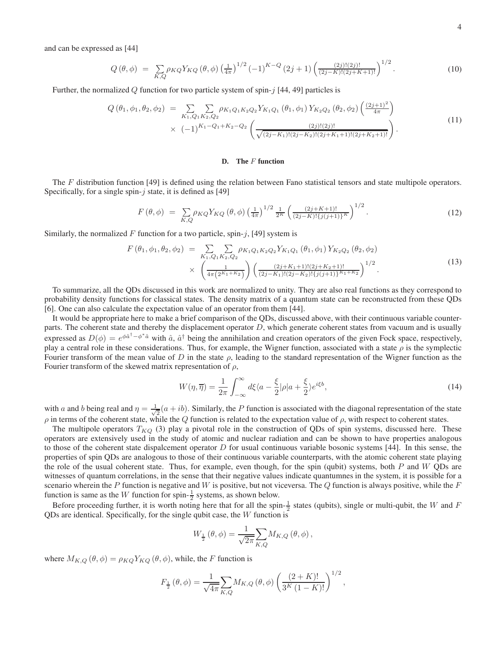and can be expressed as [44]

$$
Q(\theta,\phi) = \sum_{K,Q} \rho_{KQ} Y_{KQ}(\theta,\phi) \left(\frac{1}{4\pi}\right)^{1/2} (-1)^{K-Q} (2j+1) \left(\frac{(2j)!(2j)!}{(2j-K)!(2j+K+1)!}\right)^{1/2}.
$$
 (10)

Further, the normalized  $Q$  function for two particle system of spin- $j$  [44, 49] particles is

$$
Q(\theta_1, \phi_1, \theta_2, \phi_2) = \sum_{K_1, Q_1 K_2, Q_2} \sum_{K_1, Q_1 K_2 Q_2} \rho_{K_1 Q_1 K_2 Q_2} Y_{K_1 Q_1}(\theta_1, \phi_1) Y_{K_2 Q_2}(\theta_2, \phi_2) \left(\frac{(2j+1)^2}{4\pi}\right) \times (-1)^{K_1 - Q_1 + K_2 - Q_2} \left(\frac{(2j)!(2j)!}{\sqrt{(2j-K_1)!(2j-K_2)!(2j+K_1+1)!(2j+K_2+1)!}}\right).
$$
\n(11)

## **D. The** F **function**

The  $F$  distribution function [49] is defined using the relation between Fano statistical tensors and state multipole operators. Specifically, for a single spin- $j$  state, it is defined as [49]

$$
F(\theta,\phi) = \sum_{K,Q} \rho_{KQ} Y_{KQ} (\theta,\phi) \left(\frac{1}{4\pi}\right)^{1/2} \frac{1}{2^K} \left(\frac{(2j+K+1)!}{(2j-K)!\{j(j+1)\}^K}\right)^{1/2}.
$$
 (12)

Similarly, the normalized F function for a two particle, spin-j, [49] system is

$$
F(\theta_1, \phi_1, \theta_2, \phi_2) = \sum_{K_1, Q_1 K_2, Q_2} \sum_{K_1 Q_1 K_2 Q_2} Y_{K_1 Q_1}(\theta_1, \phi_1) Y_{K_2 Q_2}(\theta_2, \phi_2)
$$
  
 
$$
\times \left( \frac{1}{4\pi (2^{K_1 + K_2})} \right) \left( \frac{(2j + K_1 + 1)!(2j + K_2 + 1)!}{(2j - K_1)!(2j - K_2)!\{j(j+1)\}^{K_1 + K_2}} \right)^{1/2}.
$$
 (13)

To summarize, all the QDs discussed in this work are normalized to unity. They are also real functions as they correspond to probability density functions for classical states. The density matrix of a quantum state can be reconstructed from these QDs [6]. One can also calculate the expectation value of an operator from them [44].

It would be appropriate here to make a brief comparison of the QDs, discussed above, with their continuous variable counterparts. The coherent state and thereby the displacement operator D, which generate coherent states from vacuum and is usually expressed as  $D(\phi) = e^{\phi \hat{a}^{\dagger} - \phi^* \hat{a}}$  with  $\hat{a}$ ,  $\hat{a}^{\dagger}$  being the annihilation and creation operators of the given Fock space, respectively, play a central role in these considerations. Thus, for example, the Wigner function, associated with a state  $\rho$  is the symplectic Fourier transform of the mean value of D in the state  $\rho$ , leading to the standard representation of the Wigner function as the Fourier transform of the skewed matrix representation of  $\rho$ ,

$$
W(\eta, \overline{\eta}) = \frac{1}{2\pi} \int_{-\infty}^{\infty} d\xi \langle a - \frac{\xi}{2} | \rho | a + \frac{\xi}{2} \rangle e^{i\xi b}, \qquad (14)
$$

with a and b being real and  $\eta = \frac{1}{\sqrt{2}}$  $\frac{1}{2}(a+ib)$ . Similarly, the P function is associated with the diagonal representation of the state  $\rho$  in terms of the coherent state, while the  $Q$  function is related to the expectation value of  $\rho$ , with respect to coherent states.

The multipole operators  $T_{KQ}$  (3) play a pivotal role in the construction of QDs of spin systems, discussed here. These operators are extensively used in the study of atomic and nuclear radiation and can be shown to have properties analogous to those of the coherent state dispalcement operator  $D$  for usual continuous variable bosonic systems [44]. In this sense, the properties of spin QDs are analogous to those of their continuous variable counterparts, with the atomic coherent state playing the role of the usual coherent state. Thus, for example, even though, for the spin (qubit) systems, both  $P$  and  $W$  QDs are witnesses of quantum correlations, in the sense that their negative values indicate quantumnes in the system, it is possible for a scenario wherein the P function is negative and W is positive, but not viceversa. The Q function is always positive, while the F function is same as the W function for spin- $\frac{1}{2}$  systems, as shown below.

Before proceeding further, it is worth noting here that for all the spin- $\frac{1}{2}$  states (qubits), single or multi-qubit, the W and F QDs are identical. Specifically, for the single qubit case, the W function is

$$
W_{\frac{1}{2}}\left(\theta,\phi\right)=\frac{1}{\sqrt{2\pi}}{\sum_{K,Q}}M_{K,Q}\left(\theta,\phi\right),
$$

where  $M_{K,Q}(\theta, \phi) = \rho_{KQ} Y_{KQ}(\theta, \phi)$ , while, the F function is

$$
F_{\frac{1}{2}}(\theta,\phi) = \frac{1}{\sqrt{4\pi}} \sum_{K,Q} M_{K,Q}(\theta,\phi) \left(\frac{(2+K)!}{3^K (1-K)!}\right)^{1/2},
$$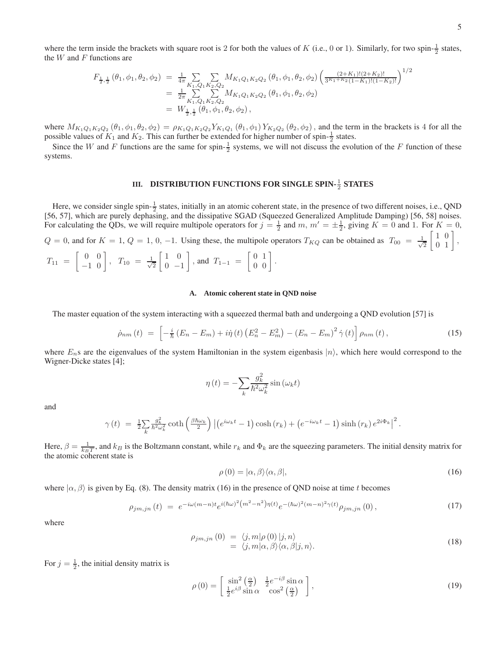where the term inside the brackets with square root is 2 for both the values of K (i.e., 0 or 1). Similarly, for two spin- $\frac{1}{2}$  states, the  $W$  and  $F$  functions are

$$
F_{\frac{1}{2},\frac{1}{2}}(\theta_1,\phi_1,\theta_2,\phi_2) = \frac{1}{4\pi} \sum_{K_1,Q_1K_2,Q_2} M_{K_1Q_1K_2Q_2}(\theta_1,\phi_1,\theta_2,\phi_2) \left(\frac{(2+K_1)!(2+K_2)!}{3^{K_1+K_2}(1-K_1)!(1-K_2)!}\right)^{1/2}
$$
  
\n
$$
= \frac{1}{2\pi} \sum_{K_1,Q_1K_2,Q_2} M_{K_1Q_1K_2Q_2}(\theta_1,\phi_1,\theta_2,\phi_2)
$$
  
\n
$$
= W_{\frac{1}{2},\frac{1}{2}}(\theta_1,\phi_1,\theta_2,\phi_2),
$$

where  $M_{K_1Q_1K_2Q_2}(\theta_1, \phi_1, \theta_2, \phi_2) = \rho_{K_1Q_1K_2Q_2} Y_{K_1Q_1}(\theta_1, \phi_1) Y_{K_2Q_2}(\theta_2, \phi_2)$ , and the term in the brackets is 4 for all the possible values of  $K_1$  and  $K_2$ . This can further be extended for higher number of spin- $\frac{1}{2}$  states.

Since the W and F functions are the same for spin- $\frac{1}{2}$  systems, we will not discuss the evolution of the F function of these systems.

# **III. DISTRIBUTION FUNCTIONS FOR SINGLE SPIN-** $\frac{1}{2}$  **STATES**

Here, we consider single spin- $\frac{1}{2}$  states, initially in an atomic coherent state, in the presence of two different noises, i.e., QND [56, 57], which are purely dephasing, and the dissipative SGAD (Squeezed Generalized Amplitude Damping) [56, 58] noises. For calculating the QDs, we will require multipole operators for  $j = \frac{1}{2}$  and m,  $m' = \pm \frac{1}{2}$ , giving  $K = 0$  and 1. For  $K = 0$ ,  $Q = 0$ , and for  $K = 1$ ,  $Q = 1$ , 0, -1. Using these, the multipole operators  $T_{KQ}$  can be obtained as  $T_{00} = \frac{1}{\sqrt{2}}$ 2  $\left[\begin{array}{cc} 1 & 0 \\ 0 & 1 \end{array}\right],$  $T_{11} = \begin{bmatrix} 0 & 0 \\ -1 & 0 \end{bmatrix}, T_{10} = \frac{1}{\sqrt{2}}$ 2  $\begin{bmatrix} 1 & 0 \end{bmatrix}$  $0 -1$  $\Bigg\},$  and  $T_{1-1} = \begin{bmatrix} 0 & 1 \\ 0 & 0 \end{bmatrix}.$ 

## **A. Atomic coherent state in QND noise**

The master equation of the system interacting with a squeezed thermal bath and undergoing a QND evolution [57] is

$$
\dot{\rho}_{nm}(t) = \left[ -\frac{i}{\hbar} \left( E_n - E_m \right) + i \dot{\eta} (t) \left( E_n^2 - E_m^2 \right) - \left( E_n - E_m \right)^2 \dot{\gamma} (t) \right] \rho_{nm}(t), \tag{15}
$$

where  $E_n$ s are the eigenvalues of the system Hamiltonian in the system eigenbasis  $|n\rangle$ , which here would correspond to the Wigner-Dicke states [4];

$$
\eta(t) = -\sum_{k} \frac{g_k^2}{\hbar^2 \omega_k^2} \sin(\omega_k t)
$$

and

$$
\gamma(t) = \frac{1}{2} \sum_{k} \frac{g_k^2}{\hbar^2 \omega_k^2} \coth\left(\frac{\beta \hbar \omega_k}{2}\right) \left| \left(e^{i\omega_k t} - 1\right) \cosh\left(r_k\right) + \left(e^{-i\omega_k t} - 1\right) \sinh\left(r_k\right) e^{2i\Phi_k} \right|^2.
$$

Here,  $\beta = \frac{1}{k_B T}$ , and  $k_B$  is the Boltzmann constant, while  $r_k$  and  $\Phi_k$  are the squeezing parameters. The initial density matrix for the atomic coherent state is

$$
\rho(0) = |\alpha, \beta\rangle \langle \alpha, \beta|,\tag{16}
$$

where  $|\alpha, \beta\rangle$  is given by Eq. (8). The density matrix (16) in the presence of QND noise at time t becomes

$$
\rho_{jm,jn}(t) = e^{-i\omega(m-n)t}e^{i(\hbar\omega)^2(m^2-n^2)\eta(t)}e^{-(\hbar\omega)^2(m-n)^2\gamma(t)}\rho_{jm,jn}(0),\tag{17}
$$

where

$$
\rho_{jm,jn}(0) = \langle j,m|\rho(0) |j,n\rangle \n= \langle j,m|\alpha,\beta\rangle \langle \alpha,\beta|j,n\rangle.
$$
\n(18)

For  $j = \frac{1}{2}$ , the initial density matrix is

$$
\rho(0) = \begin{bmatrix} \sin^2\left(\frac{\alpha}{2}\right) & \frac{1}{2}e^{-i\beta}\sin\alpha\\ \frac{1}{2}e^{i\beta}\sin\alpha & \cos^2\left(\frac{\alpha}{2}\right) \end{bmatrix},\tag{19}
$$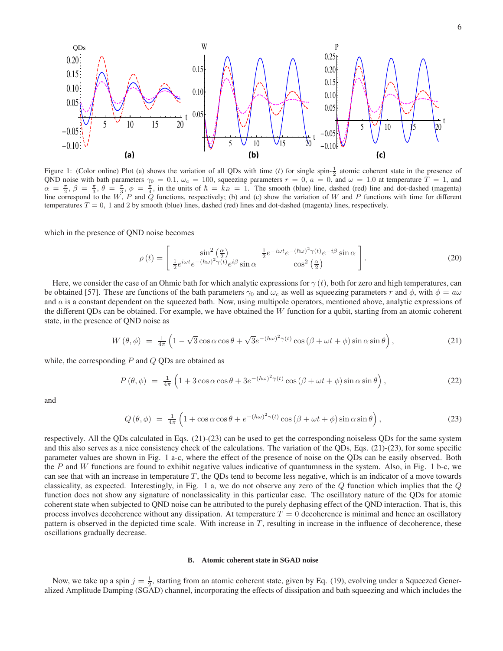

Figure 1: (Color online) Plot (a) shows the variation of all QDs with time (*t*) for single spin- $\frac{1}{2}$  atomic coherent state in the presence of QND noise with bath parameters  $\gamma_0 = 0.1$ ,  $\omega_c = 100$ , squeezing parameters  $r = 0$ ,  $a = 0$ , and  $\omega = 1.0$  at temperature  $T = 1$ , and  $\alpha = \frac{\pi}{2}, \beta = \frac{\pi}{3}, \theta = \frac{\pi}{3}, \phi = \frac{\pi}{4}$ , in the units of  $\hbar = k_B = 1$ . The smooth (blue) line, dashed (red) line and dot-dashed (magenta) line correspond to the W, P and Q functions, respectively; (b) and (c) show the variation of W and P functions with time for different temperatures  $T = 0$ , 1 and 2 by smooth (blue) lines, dashed (red) lines and dot-dashed (magenta) lines, respectively.

which in the presence of QND noise becomes

$$
\rho(t) = \begin{bmatrix} \sin^2\left(\frac{\alpha}{2}\right) & \frac{1}{2}e^{-i\omega t}e^{-(\hbar\omega)^2\gamma(t)}e^{-i\beta}\sin\alpha\\ \frac{1}{2}e^{i\omega t}e^{-(\hbar\omega)^2\gamma(t)}e^{i\beta}\sin\alpha & \cos^2\left(\frac{\alpha}{2}\right) \end{bmatrix}.
$$
\n(20)

Here, we consider the case of an Ohmic bath for which analytic expressions for  $\gamma(t)$ , both for zero and high temperatures, can be obtained [57]. These are functions of the bath parameters  $\gamma_0$  and  $\omega_c$  as well as squeezing parameters r and  $\phi$ , with  $\phi = a\omega$ and a is a constant dependent on the squeezed bath. Now, using multipole operators, mentioned above, analytic expressions of the different QDs can be obtained. For example, we have obtained the  $W$  function for a qubit, starting from an atomic coherent state, in the presence of QND noise as

$$
W(\theta,\phi) = \frac{1}{4\pi} \left( 1 - \sqrt{3} \cos \alpha \cos \theta + \sqrt{3} e^{-(\hbar \omega)^2 \gamma(t)} \cos (\beta + \omega t + \phi) \sin \alpha \sin \theta \right),\tag{21}
$$

while, the corresponding  $P$  and  $Q$  QDs are obtained as

$$
P(\theta,\phi) = \frac{1}{4\pi} \left( 1 + 3\cos\alpha\cos\theta + 3e^{-(\hbar\omega)^2 \gamma(t)}\cos\left(\beta + \omega t + \phi\right)\sin\alpha\sin\theta \right),\tag{22}
$$

and

$$
Q(\theta,\phi) = \frac{1}{4\pi} \left( 1 + \cos\alpha\cos\theta + e^{-(\hbar\omega)^2 \gamma(t)}\cos\left(\beta + \omega t + \phi\right)\sin\alpha\sin\theta \right),\tag{23}
$$

respectively. All the QDs calculated in Eqs. (21)-(23) can be used to get the corresponding noiseless QDs for the same system and this also serves as a nice consistency check of the calculations. The variation of the QDs, Eqs. (21)-(23), for some specific parameter values are shown in Fig. 1 a-c, where the effect of the presence of noise on the QDs can be easily observed. Both the  $P$  and  $W$  functions are found to exhibit negative values indicative of quantumness in the system. Also, in Fig. 1 b-c, we can see that with an increase in temperature  $T$ , the QDs tend to become less negative, which is an indicator of a move towards classicality, as expected. Interestingly, in Fig. 1 a, we do not observe any zero of the  $Q$  function which implies that the  $Q$ function does not show any signature of nonclassicality in this particular case. The oscillatory nature of the QDs for atomic coherent state when subjected to QND noise can be attributed to the purely dephasing effect of the QND interaction. That is, this process involves decoherence without any dissipation. At temperature  $T = 0$  decoherence is minimal and hence an oscillatory pattern is observed in the depicted time scale. With increase in  $T$ , resulting in increase in the influence of decoherence, these oscillations gradually decrease.

## **B. Atomic coherent state in SGAD noise**

Now, we take up a spin  $j = \frac{1}{2}$ , starting from an atomic coherent state, given by Eq. (19), evolving under a Squeezed Generalized Amplitude Damping (SGAD) channel, incorporating the effects of dissipation and bath squeezing and which includes the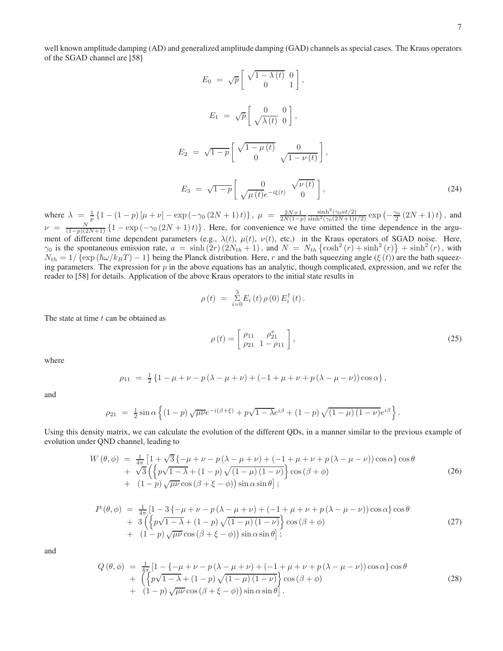well known amplitude damping (AD) and generalized amplitude damping (GAD) channels as special cases. The Kraus operators of the SGAD channel are [58]

$$
E_0 = \sqrt{p} \begin{bmatrix} \sqrt{1 - \lambda(t)} & 0 \\ 0 & 1 \end{bmatrix},
$$
  
\n
$$
E_1 = \sqrt{p} \begin{bmatrix} 0 & 0 \\ \sqrt{\lambda(t)} & 0 \end{bmatrix},
$$
  
\n
$$
E_2 = \sqrt{1 - p} \begin{bmatrix} \sqrt{1 - \mu(t)} & 0 \\ 0 & \sqrt{1 - \nu(t)} \end{bmatrix},
$$
  
\n
$$
E_3 = \sqrt{1 - p} \begin{bmatrix} 0 & \sqrt{\nu(t)} \\ \sqrt{\mu(t)}e^{-i\xi(t)} & 0 \end{bmatrix},
$$
\n(24)

where  $\lambda = \frac{1}{p} \left\{ 1 - (1-p) \left[ \mu + \nu \right] - \exp \left( -\gamma_0 \left( 2N + 1 \right) t \right) \right\}, \ \mu = \frac{2N+1}{2N(1-p)}$  $\frac{\sinh^2(\gamma_0 a t/2)}{\sinh^2(\gamma_0 (2N+1)t/2)} \exp(-\frac{\gamma_0}{2}(2N+1)t)$ , and  $\nu = \frac{N}{(1-p)(2N+1)} \left\{ 1 - \exp(-\gamma_0(2N+1)t) \right\}$ . Here, for convenience we have omitted the time dependence in the argument of different time dependent parameters (e.g.,  $\lambda(t)$ ,  $\mu(t)$ ,  $\nu(t)$ , etc.) in the Kraus operators of SGAD noise. Here,  $\gamma_0$  is the spontaneous emission rate,  $a = \sinh(2r)(2N_{th} + 1)$ , and  $N = N_{th} \left\{ \cosh^2(r) + \sinh^2(r) \right\} + \sinh^2(r)$ , with  $N_{th} = 1/\{\exp(\hbar\omega/k_BT) - 1\}$  being the Planck distribution. Here, r and the bath squeezing angle ( $\xi(t)$ ) are the bath squeezing parameters. The expression for  $p$  in the above equations has an analytic, though complicated, expression, and we refer the reader to [58] for details. Application of the above Kraus operators to the initial state results in

$$
\rho(t) = \sum_{i=0}^{3} E_i(t) \, \rho(0) \, E_i^{\dagger}(t) \, .
$$

The state at time  $t$  can be obtained as

$$
\rho(t) = \begin{bmatrix} \rho_{11} & \rho_{21}^* \\ \rho_{21} & 1 - \rho_{11} \end{bmatrix},
$$
\n(25)

where

$$
\rho_{11} = \frac{1}{2} \{ 1 - \mu + \nu - p(\lambda - \mu + \nu) + (-1 + \mu + \nu + p(\lambda - \mu - \nu)) \cos \alpha \},
$$

and

$$
\rho_{21} = \frac{1}{2} \sin \alpha \left\{ (1-p) \sqrt{\mu \nu} e^{-i(\beta + \xi)} + p \sqrt{1 - \lambda} e^{i\beta} + (1-p) \sqrt{(1 - \mu)(1 - \nu)} e^{i\beta} \right\}.
$$

Using this density matrix, we can calculate the evolution of the different QDs, in a manner similar to the previous example of evolution under QND channel, leading to

$$
W(\theta,\phi) = \frac{1}{4\pi} \left[ 1 + \sqrt{3} \left\{ -\mu + \nu - p(\lambda - \mu + \nu) + (-1 + \mu + \nu + p(\lambda - \mu - \nu)) \cos \alpha \right\} \cos \theta + \sqrt{3} \left\{ \left\{ p\sqrt{1-\lambda} + (1-p)\sqrt{(1-\mu)(1-\nu)} \right\} \cos (\beta + \phi) + (1-p)\sqrt{\mu \nu} \cos (\beta + \xi - \phi) \right\} \sin \alpha \sin \theta \right];
$$
\n(26)

$$
P(\theta,\phi) = \frac{1}{4\pi} \left[ 1 - 3\left\{ -\mu + \nu - p(\lambda - \mu + \nu) + (-1 + \mu + \nu + p(\lambda - \mu - \nu))\cos\alpha \right\} \cos\theta + 3\left( \left\{ p\sqrt{1 - \lambda} + (1 - p)\sqrt{(1 - \mu)(1 - \nu)} \right\} \cos(\beta + \phi) + (1 - p)\sqrt{\mu\nu} \cos(\beta + \xi - \phi) \right) \sin\alpha \sin\theta \right];
$$
\n(27)

and

$$
Q(\theta,\phi) = \frac{1}{4\pi} \left[ 1 - \left\{-\mu + \nu - p(\lambda - \mu + \nu) + (-1 + \mu + \nu + p(\lambda - \mu - \nu))\cos\alpha\right\} \cos\theta + \left( \left\{p\sqrt{1-\lambda} + (1-p)\sqrt{(1-\mu)(1-\nu)}\right\} \cos(\beta + \phi) + (1-p)\sqrt{\mu\nu} \cos(\beta + \xi - \phi) \right) \sin\alpha \sin\theta \right].
$$
\n(28)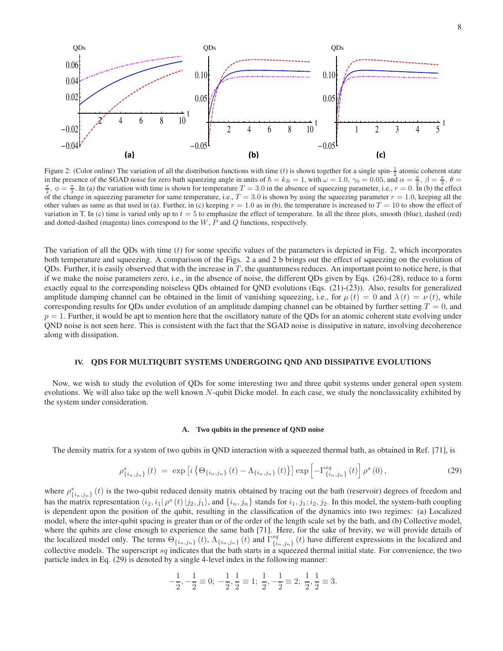

Figure 2: (Color online) The variation of all the distribution functions with time (*t*) is shown together for a single spin- $\frac{1}{2}$  atomic coherent state in the presence of the SGAD noise for zero bath squeezing angle in units of  $\hbar = k_B = 1$ , with  $\omega = 1.0$ ,  $\gamma_0 = 0.05$ , and  $\alpha = \frac{\pi}{2}$ ,  $\beta = \frac{\pi}{3}$ ,  $\theta =$  $\frac{\pi}{2}$ ,  $\phi = \frac{\pi}{3}$ . In (a) the variation with time is shown for temperature  $T = 3.0$  in the absence of squeezing parameter, i.e.,  $r = 0$ . In (b) the effect of the change in squeezing parameter for same temperature, i.e.,  $T = 3.0$  is shown by using the squeezing parameter  $r = 1.0$ , keeping all the other values as same as that used in (a). Further, in (c) keeping  $r = 1.0$  as in (b), the temperature is increased to  $T = 10$  to show the effect of variation in T. In (c) time is varied only up to  $t = 5$  to emphasize the effect of temperature. In all the three plots, smooth (blue), dashed (red) and dotted-dashed (magenta) lines correspond to the  $W, P$  and  $Q$  functions, respectively.

The variation of all the QDs with time  $(t)$  for some specific values of the parameters is depicted in Fig. 2, which incorporates both temperature and squeezing. A comparison of the Figs. 2 a and 2 b brings out the effect of squeezing on the evolution of QDs. Further, it is easily observed that with the increase in  $T$ , the quantumness reduces. An important point to notice here, is that if we make the noise parameters zero, i.e., in the absence of noise, the different QDs given by Eqs. (26)-(28), reduce to a form exactly equal to the corresponding noiseless QDs obtained for QND evolutions (Eqs. (21)-(23)). Also, results for generalized amplitude damping channel can be obtained in the limit of vanishing squeezing, i.e., for  $\mu(t) = 0$  and  $\lambda(t) = \nu(t)$ , while corresponding results for QDs under evolution of an amplitude damping channel can be obtained by further setting  $T = 0$ , and  $p = 1$ . Further, it would be apt to mention here that the oscillatory nature of the QDs for an atomic coherent state evolving under QND noise is not seen here. This is consistent with the fact that the SGAD noise is dissipative in nature, involving decoherence along with dissipation.

## **IV. QDS FOR MULTIQUBIT SYSTEMS UNDERGOING QND AND DISSIPATIVE EVOLUTIONS**

Now, we wish to study the evolution of QDs for some interesting two and three qubit systems under general open system evolutions. We will also take up the well known  $N$ -qubit Dicke model. In each case, we study the nonclassicality exhibited by the system under consideration.

## **A. Two qubits in the presence of QND noise**

The density matrix for a system of two qubits in QND interaction with a squeezed thermal bath, as obtained in Ref. [71], is

$$
\rho_{\{i_n,j_n\}}^s(t) \ = \ \exp\left[i\left\{\Theta_{\{i_n,j_n\}}(t) - \Lambda_{\{i_n,j_n\}}(t)\right\}\right] \exp\left[-\Gamma_{\{i_n,j_n\}}^{sq}(t)\right] \rho^s(0),\tag{29}
$$

where  $\rho_{\{i_n,j_n\}}^s(t)$  is the two-qubit reduced density matrix obtained by tracing out the bath (reservoir) degrees of freedom and has the matrix representation  $\langle i_2, i_1 | \rho^s(t) | j_2, j_1 \rangle$ , and  $\{i_n, j_n\}$  stands for  $i_1, j_1; i_2, j_2$ . In this model, the system-bath coupling is dependent upon the position of the qubit, resulting in the classification of the dynamics into two regimes: (a) Localized model, where the inter-qubit spacing is greater than or of the order of the length scale set by the bath, and (b) Collective model, where the qubits are close enough to experience the same bath [71]. Here, for the sake of brevity, we will provide details of the localized model only. The terms  $\Theta_{\{i_n,j_n\}}(t)$ ,  $\Lambda_{\{i_n,j_n\}}(t)$  and  $\Gamma_{\{i_n,j_n\}}^{sq}$  ${^{sq}}_{\{i_n,j_n\}}(t)$  have different expressions in the localized and collective models. The superscript  $sq$  indicates that the bath starts in a squeezed thermal initial state. For convenience, the two particle index in Eq. (29) is denoted by a single 4-level index in the following manner:

$$
-\frac{1}{2}, -\frac{1}{2} \equiv 0; -\frac{1}{2}, \frac{1}{2} \equiv 1; \frac{1}{2}, -\frac{1}{2} \equiv 2; \frac{1}{2}, \frac{1}{2} \equiv 3.
$$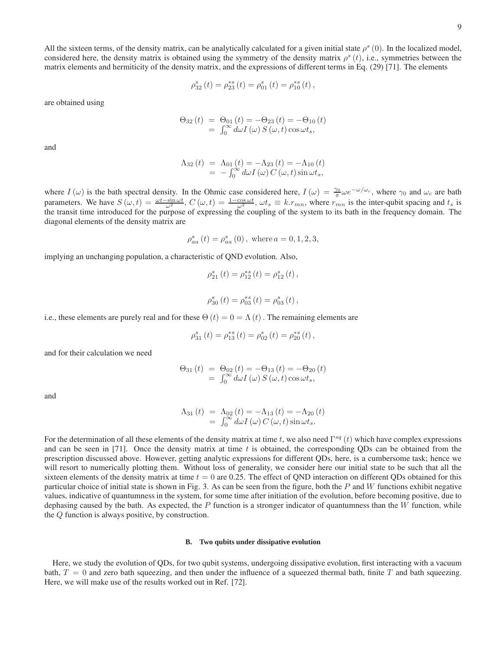All the sixteen terms, of the density matrix, can be analytically calculated for a given initial state  $\rho^s(0)$ . In the localized model, considered here, the density matrix is obtained using the symmetry of the density matrix  $\rho^s(t)$ , i.e., symmetries between the matrix elements and hermiticity of the density matrix, and the expressions of different terms in Eq. (29) [71]. The elements

$$
\rho_{32}^{s}(t) = \rho_{23}^{*s}(t) = \rho_{01}^{s}(t) = \rho_{10}^{*s}(t),
$$

are obtained using

$$
\Theta_{32}(t) = \Theta_{01}(t) = -\Theta_{23}(t) = -\Theta_{10}(t)
$$
  
= 
$$
\int_0^\infty d\omega I(\omega) S(\omega, t) \cos \omega t_s,
$$

and

$$
\begin{array}{rcl}\n\Lambda_{32}(t) & = & \Lambda_{01}(t) = -\Lambda_{23}(t) = -\Lambda_{10}(t) \\
& = & -\int_0^\infty d\omega I(\omega) C(\omega, t) \sin \omega t_s,\n\end{array}
$$

where  $I(\omega)$  is the bath spectral density. In the Ohmic case considered here,  $I(\omega) = \frac{\gamma_0}{\pi} \omega e^{-\omega/\omega_c}$ , where  $\gamma_0$  and  $\omega_c$  are bath parameters. We have  $S(\omega, t) = \frac{\omega t - \sin \omega t}{\omega^2}$ ,  $C(\omega, t) = \frac{1 - \cos \omega t}{\omega^2}$ ,  $\omega t_s \equiv k \cdot r_{mn}$ , where  $r_{mn}$  is the inter-qubit spacing and  $t_s$  is the transit time introduced for the purpose of expressing the coupling of the diagonal elements of the density matrix are

$$
\rho_{aa}^{s}(t) = \rho_{aa}^{s}(0), \text{ where } a = 0, 1, 2, 3,
$$

implying an unchanging population, a characteristic of QND evolution. Also,

$$
\rho_{21}^{s} (t) = \rho_{12}^{*s} (t) = \rho_{12}^{s} (t) ,
$$
  

$$
\rho_{30}^{s} (t) = \rho_{03}^{*s} (t) = \rho_{03}^{s} (t) ,
$$

i.e., these elements are purely real and for these  $\Theta(t) = 0 = \Lambda(t)$ . The remaining elements are

$$
\rho_{31}^{s}(t) = \rho_{13}^{*s}(t) = \rho_{02}^{s}(t) = \rho_{20}^{*s}(t),
$$

and for their calculation we need

$$
\Theta_{31}(t) = \Theta_{02}(t) = -\Theta_{13}(t) = -\Theta_{20}(t)
$$
  
= 
$$
\int_0^\infty d\omega I(\omega) S(\omega, t) \cos \omega t_s,
$$

and

$$
\begin{array}{rcl}\n\Lambda_{31}(t) & = & \Lambda_{02}(t) = -\Lambda_{13}(t) = -\Lambda_{20}(t) \\
& = & \int_0^\infty d\omega I(\omega) \, C(\omega, t) \sin \omega t_s.\n\end{array}
$$

For the determination of all these elements of the density matrix at time t, we also need  $\Gamma^{sq}(t)$  which have complex expressions and can be seen in [71]. Once the density matrix at time  $t$  is obtained, the corresponding ODs can be obtained from the prescription discussed above. However, getting analytic expressions for different QDs, here, is a cumbersome task; hence we will resort to numerically plotting them. Without loss of generality, we consider here our initial state to be such that all the sixteen elements of the density matrix at time  $t = 0$  are 0.25. The effect of QND interaction on different QDs obtained for this particular choice of initial state is shown in Fig. 3. As can be seen from the figure, both the  $P$  and  $W$  functions exhibit negative values, indicative of quantumness in the system, for some time after initiation of the evolution, before becoming positive, due to dephasing caused by the bath. As expected, the  $P$  function is a stronger indicator of quantumness than the  $W$  function, while the Q function is always positive, by construction.

# **B. Two qubits under dissipative evolution**

Here, we study the evolution of QDs, for two qubit systems, undergoing dissipative evolution, first interacting with a vacuum bath,  $T = 0$  and zero bath squeezing, and then under the influence of a squeezed thermal bath, finite T and bath squeezing. Here, we will make use of the results worked out in Ref. [72].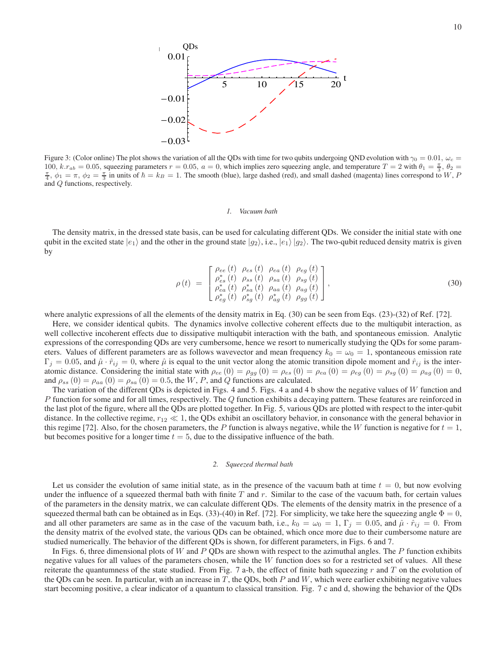

Figure 3: (Color online) The plot shows the variation of all the QDs with time for two qubits undergoing QND evolution with  $\gamma_0 = 0.01$ ,  $\omega_c =$ 100,  $k.r_{ab} = 0.05$ , squeezing parameters  $r = 0.05$ ,  $a = 0$ , which implies zero squeezing angle, and temperature  $T = 2$  with  $\theta_1 = \frac{\pi}{3}$ ,  $\theta_2 =$  $\frac{\pi}{4}$ ,  $\phi_1 = \pi$ ,  $\phi_2 = \frac{\pi}{3}$  in units of  $\hbar = k_B = 1$ . The smooth (blue), large dashed (red), and small dashed (magenta) lines correspond to W, P and Q functions, respectively.

#### *1. Vacuum bath*

The density matrix, in the dressed state basis, can be used for calculating different QDs. We consider the initial state with one qubit in the excited state  $|e_1\rangle$  and the other in the ground state  $|g_2\rangle$ , i.e.,  $|e_1\rangle |g_2\rangle$ . The two-qubit reduced density matrix is given by

$$
\rho(t) = \begin{bmatrix}\n\rho_{ee}(t) & \rho_{es}(t) & \rho_{ea}(t) & \rho_{eg}(t) \\
\rho_{es}^*(t) & \rho_{ss}(t) & \rho_{sa}(t) & \rho_{sg}(t) \\
\rho_{ea}^*(t) & \rho_{sa}^*(t) & \rho_{aa}(t) & \rho_{ag}(t) \\
\rho_{eg}^*(t) & \rho_{sg}^*(t) & \rho_{ag}^*(t) & \rho_{gg}(t)\n\end{bmatrix},
$$
\n(30)

where analytic expressions of all the elements of the density matrix in Eq. (30) can be seen from Eqs. (23)-(32) of Ref. [72].

Here, we consider identical qubits. The dynamics involve collective coherent effects due to the multiqubit interaction, as well collective incoherent effects due to dissipative multiqubit interaction with the bath, and spontaneous emission. Analytic expressions of the corresponding QDs are very cumbersome, hence we resort to numerically studying the QDs for some parameters. Values of different parameters are as follows wavevector and mean frequency  $k_0 = \omega_0 = 1$ , spontaneous emission rate  $\Gamma_j = 0.05$ , and  $\hat{\mu} \cdot \hat{r}_{ij} = 0$ , where  $\hat{\mu}$  is equal to the unit vector along the atomic transition dipole moment and  $\hat{r}_{ij}$  is the interatomic distance. Considering the initial state with  $\rho_{ee}(0) = \rho_{gg}(0) = \rho_{es}(0) = \rho_{ea}(0) = \rho_{eg}(0) = \rho_{sg}(0) = \rho_{ag}(0) = 0$ , and  $\rho_{ss}(0) = \rho_{aa}(0) = \rho_{sa}(0) = 0.5$ , the W, P, and Q functions are calculated.

The variation of the different QDs is depicted in Figs. 4 and 5. Figs. 4 a and 4 b show the negative values of  $W$  function and P function for some and for all times, respectively. The  $Q$  function exhibits a decaying pattern. These features are reinforced in the last plot of the figure, where all the QDs are plotted together. In Fig. 5, various QDs are plotted with respect to the inter-qubit distance. In the collective regime,  $r_{12} \ll 1$ , the QDs exhibit an oscillatory behavior, in consonance with the general behavior in this regime [72]. Also, for the chosen parameters, the P function is always negative, while the W function is negative for  $t = 1$ , but becomes positive for a longer time  $t = 5$ , due to the dissipative influence of the bath.

#### *2. Squeezed thermal bath*

Let us consider the evolution of same initial state, as in the presence of the vacuum bath at time  $t = 0$ , but now evolving under the influence of a squeezed thermal bath with finite  $T$  and  $r$ . Similar to the case of the vacuum bath, for certain values of the parameters in the density matrix, we can calculate different QDs. The elements of the density matrix in the presence of a squeezed thermal bath can be obtained as in Eqs. (33)-(40) in Ref. [72]. For simplicity, we take here the squeezing angle  $\Phi = 0$ , and all other parameters are same as in the case of the vacuum bath, i.e.,  $k_0 = \omega_0 = 1$ ,  $\Gamma_j = 0.05$ , and  $\hat{\mu} \cdot \hat{r}_{ij} = 0$ . From the density matrix of the evolved state, the various QDs can be obtained, which once more due to their cumbersome nature are studied numerically. The behavior of the different QDs is shown, for different parameters, in Figs. 6 and 7.

In Figs. 6, three dimensional plots of W and P QDs are shown with respect to the azimuthal angles. The P function exhibits negative values for all values of the parameters chosen, while the  $W$  function does so for a restricted set of values. All these reiterate the quantumness of the state studied. From Fig. 7 a-b, the effect of finite bath squeezing r and T on the evolution of the QDs can be seen. In particular, with an increase in T, the QDs, both P and W, which were earlier exhibiting negative values start becoming positive, a clear indicator of a quantum to classical transition. Fig. 7 c and d, showing the behavior of the QDs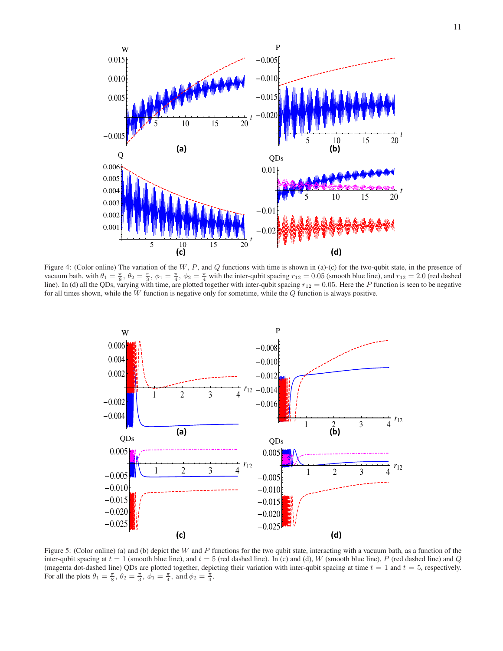

Figure 4: (Color online) The variation of the  $W$ ,  $P$ , and  $Q$  functions with time is shown in (a)-(c) for the two-qubit state, in the presence of vacuum bath, with  $\theta_1 = \frac{\pi}{8}$ ,  $\theta_2 = \frac{\pi}{3}$ ,  $\phi_1 = \frac{\pi}{4}$ ,  $\phi_2 = \frac{\pi}{4}$  with the inter-qubit spacing  $r_{12} = 0.05$  (smooth blue line), and  $r_{12} = 2.0$  (red dashed line). In (d) all the QDs, varying with time, are plotted together with inter-qubit spacing  $r_{12} = 0.05$ . Here the P function is seen to be negative for all times shown, while the  $W$  function is negative only for sometime, while the  $Q$  function is always positive.



Figure 5: (Color online) (a) and (b) depict the W and P functions for the two qubit state, interacting with a vacuum bath, as a function of the inter-qubit spacing at  $t = 1$  (smooth blue line), and  $t = 5$  (red dashed line). In (c) and (d), W (smooth blue line), P (red dashed line) and Q (magenta dot-dashed line) QDs are plotted together, depicting their variation with inter-qubit spacing at time  $t = 1$  and  $t = 5$ , respectively. For all the plots  $\theta_1 = \frac{\pi}{8}$ ,  $\theta_2 = \frac{\pi}{3}$ ,  $\phi_1 = \frac{\pi}{4}$ , and  $\phi_2 = \frac{\pi}{4}$ .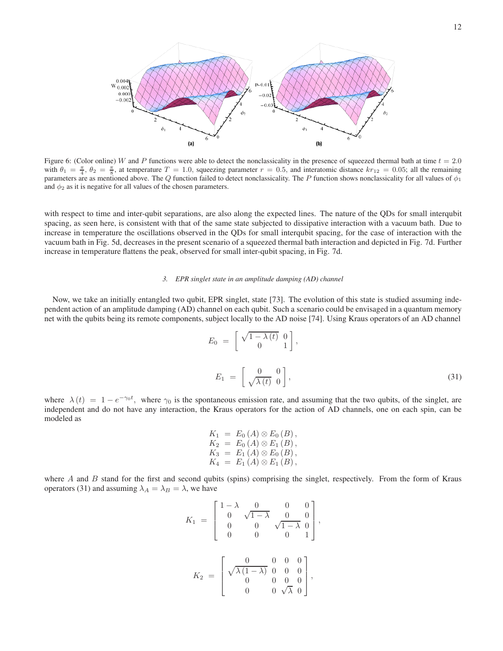

Figure 6: (Color online) W and P functions were able to detect the nonclassicality in the presence of squeezed thermal bath at time  $t = 2.0$ with  $\theta_1 = \frac{\pi}{4}$ ,  $\theta_2 = \frac{\pi}{8}$ , at temperature  $T = 1.0$ , squeezing parameter  $r = 0.5$ , and interatomic distance  $kr_{12} = 0.05$ ; all the remaining parameters are as mentioned above. The Q function failed to detect nonclassicality. The P function shows nonclassicality for all values of  $\phi_1$ and  $\phi_2$  as it is negative for all values of the chosen parameters.

with respect to time and inter-qubit separations, are also along the expected lines. The nature of the QDs for small interqubit spacing, as seen here, is consistent with that of the same state subjected to dissipative interaction with a vacuum bath. Due to increase in temperature the oscillations observed in the QDs for small interqubit spacing, for the case of interaction with the vacuum bath in Fig. 5d, decreases in the present scenario of a squeezed thermal bath interaction and depicted in Fig. 7d. Further increase in temperature flattens the peak, observed for small inter-qubit spacing, in Fig. 7d.

### *3. EPR singlet state in an amplitude damping (AD) channel*

Now, we take an initially entangled two qubit, EPR singlet, state [73]. The evolution of this state is studied assuming independent action of an amplitude damping (AD) channel on each qubit. Such a scenario could be envisaged in a quantum memory net with the qubits being its remote components, subject locally to the AD noise [74]. Using Kraus operators of an AD channel

$$
E_0 = \begin{bmatrix} \sqrt{1 - \lambda(t)} & 0 \\ 0 & 1 \end{bmatrix},
$$
  
\n
$$
E_1 = \begin{bmatrix} 0 & 0 \\ \sqrt{\lambda(t)} & 0 \end{bmatrix},
$$
\n(31)

where  $\lambda(t) = 1 - e^{-\gamma_0 t}$ , where  $\gamma_0$  is the spontaneous emission rate, and assuming that the two qubits, of the singlet, are independent and do not have any interaction, the Kraus operators for the action of AD channels, one on each spin, can be modeled as

$$
K_1 = E_0(A) \otimes E_0(B),
$$
  
\n
$$
K_2 = E_0(A) \otimes E_1(B),
$$
  
\n
$$
K_3 = E_1(A) \otimes E_0(B),
$$
  
\n
$$
K_4 = E_1(A) \otimes E_1(B),
$$

where  $A$  and  $B$  stand for the first and second qubits (spins) comprising the singlet, respectively. From the form of Kraus operators (31) and assuming  $\lambda_A = \lambda_B = \lambda$ , we have

$$
K_1 = \begin{bmatrix} 1 - \lambda & 0 & 0 & 0 \\ 0 & \sqrt{1 - \lambda} & 0 & 0 \\ 0 & 0 & \sqrt{1 - \lambda} & 0 \\ 0 & 0 & 0 & 1 \end{bmatrix},
$$

$$
K_2 = \begin{bmatrix} 0 & 0 & 0 & 0 \\ \sqrt{\lambda (1 - \lambda)} & 0 & 0 & 0 \\ 0 & 0 & 0 & 0 \\ 0 & 0 & \sqrt{\lambda} & 0 \end{bmatrix},
$$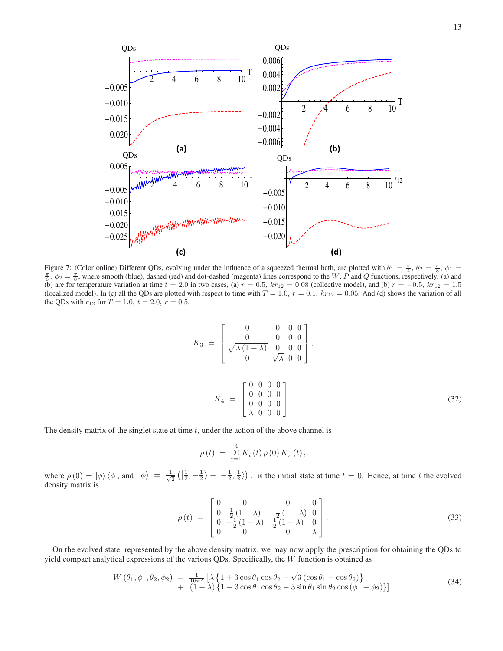

Figure 7: (Color online) Different QDs, evolving under the influence of a squeezed thermal bath, are plotted with  $\theta_1 = \frac{\pi}{4}$ ,  $\theta_2 = \frac{\pi}{8}$ ,  $\phi_1 =$  $\frac{\pi}{6}$ ,  $\phi_2 = \frac{\pi}{8}$ , where smooth (blue), dashed (red) and dot-dashed (magenta) lines correspond to the W, P and Q functions, respectively. (a) and (b) are for temperature variation at time  $t = 2.0$  in two cases, (a)  $r = 0.5$ ,  $kr_{12} = 0.08$  (collective model), and (b)  $r = -0.5$ ,  $kr_{12} = 1.5$ (localized model). In (c) all the QDs are plotted with respect to time with  $T = 1.0$ ,  $r = 0.1$ ,  $kr_{12} = 0.05$ . And (d) shows the variation of all the QDs with  $r_{12}$  for  $T = 1.0, t = 2.0, r = 0.5$ .

$$
K_3 = \begin{bmatrix} 0 & 0 & 0 & 0 \\ 0 & 0 & 0 & 0 \\ \sqrt{\lambda(1-\lambda)} & 0 & 0 & 0 \\ 0 & \sqrt{\lambda} & 0 & 0 \end{bmatrix},
$$
  

$$
K_4 = \begin{bmatrix} 0 & 0 & 0 & 0 \\ 0 & 0 & 0 & 0 \\ 0 & 0 & 0 & 0 \\ \lambda & 0 & 0 & 0 \end{bmatrix}.
$$
 (32)

The density matrix of the singlet state at time  $t$ , under the action of the above channel is

$$
\rho(t) = \sum_{i=1}^{4} K_i(t) \, \rho(0) \, K_i^{\dagger}(t) \,,
$$

where  $\rho(0) = |\phi\rangle \langle \phi|$ , and  $|\phi\rangle = \frac{1}{\sqrt{\ }}$  $\frac{1}{2}$   $\left(\left|\frac{1}{2},-\frac{1}{2}\right\rangle-\left|-\frac{1}{2},\frac{1}{2}\right\rangle\right)$ , is the initial state at time  $t=0$ . Hence, at time  $t$  the evolved density matrix is

$$
\rho(t) = \begin{bmatrix} 0 & 0 & 0 & 0 \\ 0 & \frac{1}{2}(1-\lambda) & -\frac{1}{2}(1-\lambda) & 0 \\ 0 & -\frac{1}{2}(1-\lambda) & \frac{1}{2}(1-\lambda) & 0 \\ 0 & 0 & 0 & \lambda \end{bmatrix}.
$$
\n(33)

On the evolved state, represented by the above density matrix, we may now apply the prescription for obtaining the QDs to yield compact analytical expressions of the various QDs. Specifically, the W function is obtained as

$$
W(\theta_1, \phi_1, \theta_2, \phi_2) = \frac{1}{16\pi^2} \left[ \lambda \left\{ 1 + 3\cos\theta_1 \cos\theta_2 - \sqrt{3} \left( \cos\theta_1 + \cos\theta_2 \right) \right\} + \left( 1 - \lambda \right) \left\{ 1 - 3\cos\theta_1 \cos\theta_2 - 3\sin\theta_1 \sin\theta_2 \cos(\phi_1 - \phi_2) \right\} \right],
$$
\n(34)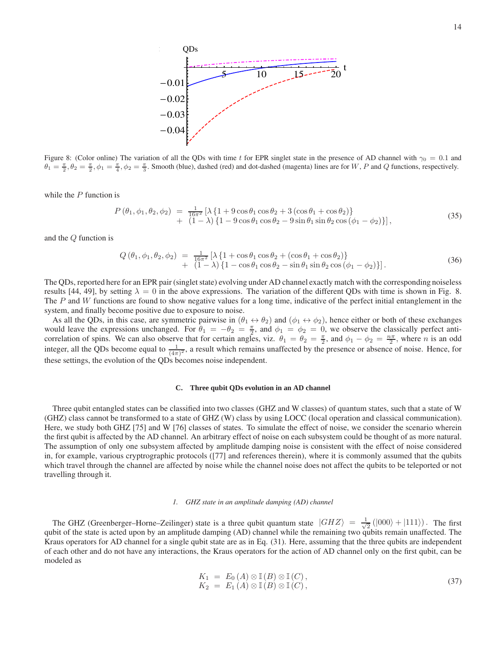

Figure 8: (Color online) The variation of all the QDs with time t for EPR singlet state in the presence of AD channel with  $\gamma_0 = 0.1$  and  $\theta_1 = \frac{\pi}{2}, \theta_2 = \frac{\pi}{2}, \phi_1 = \frac{\pi}{4}, \phi_2 = \frac{\pi}{3}$ . Smooth (blue), dashed (red) and dot-dashed (magenta) lines are for W, P and Q functions, respectively.

while the  $P$  function is

$$
P(\theta_1, \phi_1, \theta_2, \phi_2) = \frac{1}{16\pi^2} [\lambda \{1 + 9\cos\theta_1\cos\theta_2 + 3(\cos\theta_1 + \cos\theta_2)\} + (1 - \lambda)\{1 - 9\cos\theta_1\cos\theta_2 - 9\sin\theta_1\sin\theta_2\cos(\phi_1 - \phi_2)\}],
$$
\n(35)

and the Q function is

$$
Q(\theta_1, \phi_1, \theta_2, \phi_2) = \frac{1}{16\pi^2} [\lambda \{ 1 + \cos \theta_1 \cos \theta_2 + (\cos \theta_1 + \cos \theta_2) \} + (1 - \lambda) \{ 1 - \cos \theta_1 \cos \theta_2 - \sin \theta_1 \sin \theta_2 \cos (\phi_1 - \phi_2) \}].
$$
\n(36)

The QDs, reported here for an EPR pair (singlet state) evolving under AD channel exactly match with the corresponding noiseless results [44, 49], by setting  $\lambda = 0$  in the above expressions. The variation of the different QDs with time is shown in Fig. 8. The  $P$  and  $W$  functions are found to show negative values for a long time, indicative of the perfect initial entanglement in the system, and finally become positive due to exposure to noise.

As all the QDs, in this case, are symmetric pairwise in  $(\theta_1 \leftrightarrow \theta_2)$  and  $(\phi_1 \leftrightarrow \phi_2)$ , hence either or both of these exchanges would leave the expressions unchanged. For  $\theta_1 = -\theta_2 = \frac{\pi}{2}$ , and  $\phi_1 = \phi_2 = 0$ , we observe the classically perfect anticorrelation of spins. We can also observe that for certain angles, viz.  $\theta_1 = \theta_2 = \frac{\pi}{2}$ , and  $\phi_1 - \phi_2 = \frac{n\pi}{2}$ , where *n* is an odd integer, all the QDs become equal to  $\frac{1}{(4\pi)^2}$ , a result which remains unaffected by the presence or absence of noise. Hence, for these settings, the evolution of the QDs becomes noise independent.

# **C. Three qubit QDs evolution in an AD channel**

Three qubit entangled states can be classified into two classes (GHZ and W classes) of quantum states, such that a state of W (GHZ) class cannot be transformed to a state of GHZ (W) class by using LOCC (local operation and classical communication). Here, we study both GHZ [75] and W [76] classes of states. To simulate the effect of noise, we consider the scenario wherein the first qubit is affected by the AD channel. An arbitrary effect of noise on each subsystem could be thought of as more natural. The assumption of only one subsystem affected by amplitude damping noise is consistent with the effect of noise considered in, for example, various cryptrographic protocols ([77] and references therein), where it is commonly assumed that the qubits which travel through the channel are affected by noise while the channel noise does not affect the qubits to be teleported or not travelling through it.

#### *1. GHZ state in an amplitude damping (AD) channel*

The GHZ (Greenberger–Horne–Zeilinger) state is a three qubit quantum state  $|GHZ\rangle = \frac{1}{\sqrt{2\pi}}$  $\frac{1}{2}(|000\rangle + |111\rangle)$ . The first qubit of the state is acted upon by an amplitude damping (AD) channel while the remaining two qubits remain unaffected. The Kraus operators for AD channel for a single qubit state are as in Eq. (31). Here, assuming that the three qubits are independent of each other and do not have any interactions, the Kraus operators for the action of AD channel only on the first qubit, can be modeled as

$$
K_1 = E_0(A) \otimes \mathbb{I}(B) \otimes \mathbb{I}(C), K_2 = E_1(A) \otimes \mathbb{I}(B) \otimes \mathbb{I}(C),
$$
\n(37)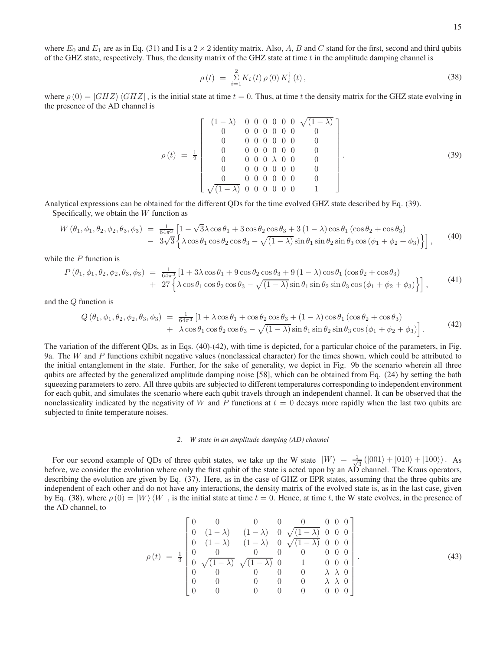where  $E_0$  and  $E_1$  are as in Eq. (31) and I is a 2 × 2 identity matrix. Also, A, B and C stand for the first, second and third qubits of the GHZ state, respectively. Thus, the density matrix of the GHZ state at time  $t$  in the amplitude damping channel is

$$
\rho(t) = \sum_{i=1}^{2} K_i(t) \rho(0) K_i^{\dagger}(t), \qquad (38)
$$

where  $\rho(0) = |GHZ\rangle \langle GHZ|$ , is the initial state at time  $t = 0$ . Thus, at time t the density matrix for the GHZ state evolving in the presence of the AD channel is

$$
\rho(t) = \frac{1}{2} \begin{bmatrix} (1-\lambda) & 0 & 0 & 0 & 0 & 0 & 0 & \sqrt{(1-\lambda)} \\ 0 & 0 & 0 & 0 & 0 & 0 & 0 & 0 \\ 0 & 0 & 0 & 0 & 0 & 0 & 0 & 0 \\ 0 & 0 & 0 & 0 & 0 & 0 & 0 & 0 \\ 0 & 0 & 0 & 0 & \lambda & 0 & 0 & 0 \\ 0 & 0 & 0 & 0 & 0 & 0 & 0 & 0 \\ 0 & 0 & 0 & 0 & 0 & 0 & 0 & 0 \\ \sqrt{(1-\lambda)} & 0 & 0 & 0 & 0 & 0 & 0 & 1 \end{bmatrix}.
$$
 (39)

Analytical expressions can be obtained for the different QDs for the time evolved GHZ state described by Eq. (39). Specifically, we obtain the  $W$  function as

$$
W(\theta_1, \phi_1, \theta_2, \phi_2, \theta_3, \phi_3) = \frac{1}{64\pi^3} \left[ 1 - \sqrt{3}\lambda \cos \theta_1 + 3 \cos \theta_2 \cos \theta_3 + 3 (1 - \lambda) \cos \theta_1 (\cos \theta_2 + \cos \theta_3) - 3\sqrt{3} \left\{ \lambda \cos \theta_1 \cos \theta_2 \cos \theta_3 - \sqrt{(1 - \lambda)} \sin \theta_1 \sin \theta_2 \sin \theta_3 \cos (\phi_1 + \phi_2 + \phi_3) \right\} \right],
$$
(40)

while the  $P$  function is

$$
P(\theta_1, \phi_1, \theta_2, \phi_2, \theta_3, \phi_3) = \frac{1}{64\pi^3} \left[ 1 + 3\lambda \cos \theta_1 + 9 \cos \theta_2 \cos \theta_3 + 9 (1 - \lambda) \cos \theta_1 (\cos \theta_2 + \cos \theta_3) + 27 \left\{ \lambda \cos \theta_1 \cos \theta_2 \cos \theta_3 - \sqrt{(1 - \lambda)} \sin \theta_1 \sin \theta_2 \sin \theta_3 \cos (\phi_1 + \phi_2 + \phi_3) \right\} \right],
$$
(41)

and the Q function is

$$
Q(\theta_1, \phi_1, \theta_2, \phi_2, \theta_3, \phi_3) = \frac{1}{64\pi^3} \left[ 1 + \lambda \cos \theta_1 + \cos \theta_2 \cos \theta_3 + (1 - \lambda) \cos \theta_1 (\cos \theta_2 + \cos \theta_3) + \lambda \cos \theta_1 \cos \theta_2 \cos \theta_3 - \sqrt{(1 - \lambda)} \sin \theta_1 \sin \theta_2 \sin \theta_3 \cos (\phi_1 + \phi_2 + \phi_3) \right].
$$
\n(42)

The variation of the different QDs, as in Eqs. (40)-(42), with time is depicted, for a particular choice of the parameters, in Fig. 9a. The W and P functions exhibit negative values (nonclassical character) for the times shown, which could be attributed to the initial entanglement in the state. Further, for the sake of generality, we depict in Fig. 9b the scenario wherein all three qubits are affected by the generalized amplitude damping noise [58], which can be obtained from Eq. (24) by setting the bath squeezing parameters to zero. All three qubits are subjected to different temperatures corresponding to independent environment for each qubit, and simulates the scenario where each qubit travels through an independent channel. It can be observed that the nonclassicality indicated by the negativity of W and P functions at  $t = 0$  decays more rapidly when the last two qubits are subjected to finite temperature noises.

#### *2. W state in an amplitude damping (AD) channel*

For our second example of QDs of three qubit states, we take up the W state  $|W\rangle = \frac{1}{\sqrt{2}}$  $\frac{1}{3}$  (|001) + |010) + |100)). As before, we consider the evolution where only the first qubit of the state is acted upon by an AD channel. The Kraus operators, describing the evolution are given by Eq. (37). Here, as in the case of GHZ or EPR states, assuming that the three qubits are independent of each other and do not have any interactions, the density matrix of the evolved state is, as in the last case, given by Eq. (38), where  $\rho(0) = |W\rangle\langle W|$ , is the initial state at time  $t = 0$ . Hence, at time t, the W state evolves, in the presence of the AD channel, to

$$
\rho(t) = \frac{1}{3} \begin{bmatrix} 0 & 0 & 0 & 0 & 0 & 0 & 0 & 0 \\ 0 & (1-\lambda) & (1-\lambda) & 0 & \sqrt{(1-\lambda)} & 0 & 0 & 0 \\ 0 & (1-\lambda) & (1-\lambda) & 0 & \sqrt{(1-\lambda)} & 0 & 0 & 0 \\ 0 & 0 & 0 & 0 & 0 & 0 & 0 & 0 \\ 0 & \sqrt{(1-\lambda)} & \sqrt{(1-\lambda)} & 0 & 1 & 0 & 0 & 0 \\ 0 & 0 & 0 & 0 & 0 & \lambda & \lambda & 0 \\ 0 & 0 & 0 & 0 & 0 & 0 & 0 & 0 \end{bmatrix} . \tag{43}
$$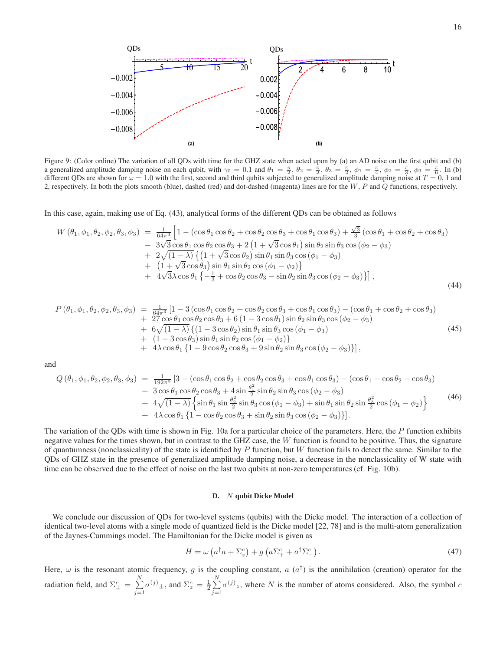

Figure 9: (Color online) The variation of all QDs with time for the GHZ state when acted upon by (a) an AD noise on the first qubit and (b) a generalized amplitude damping noise on each qubit, with  $\gamma_0 = 0.1$  and  $\theta_1 = \frac{\pi}{2}$ ,  $\theta_2 = \frac{\pi}{2}$ ,  $\theta_3 = \frac{\pi}{2}$ ,  $\phi_1 = \frac{\pi}{4}$ ,  $\phi_2 = \frac{\pi}{3}$ ,  $\phi_3 = \frac{\pi}{6}$ . In (b) different QDs are shown for  $\omega = 1.0$  with the first, second and third qubits subjected to generalized amplitude damping noise at  $T = 0$ , 1 and 2, respectively. In both the plots smooth (blue), dashed (red) and dot-dashed (magenta) lines are for the W, P and Q functions, respectively.

In this case, again, making use of Eq. (43), analytical forms of the different QDs can be obtained as follows

$$
W (\theta_1, \phi_1, \theta_2, \phi_2, \theta_3, \phi_3) = \frac{1}{64\pi^3} \left[ 1 - (\cos \theta_1 \cos \theta_2 + \cos \theta_2 \cos \theta_3 + \cos \theta_1 \cos \theta_3) + \frac{\sqrt{3}}{3} (\cos \theta_1 + \cos \theta_2 + \cos \theta_3) - 3\sqrt{3} \cos \theta_1 \cos \theta_2 \cos \theta_3 + 2 (1 + \sqrt{3} \cos \theta_1) \sin \theta_2 \sin \theta_3 \cos (\phi_2 - \phi_3) + 2\sqrt{(1 - \lambda)} \left\{ (1 + \sqrt{3} \cos \theta_2) \sin \theta_1 \sin \theta_3 \cos (\phi_1 - \phi_3) + (1 + \sqrt{3} \cos \theta_3) \sin \theta_1 \sin \theta_2 \cos (\phi_1 - \phi_2) \right\} + 4\sqrt{3}\lambda \cos \theta_1 \left\{ -\frac{1}{3} + \cos \theta_2 \cos \theta_3 - \sin \theta_2 \sin \theta_3 \cos (\phi_2 - \phi_3) \right\} \right],
$$
\n(44)

$$
P(\theta_1, \phi_1, \theta_2, \phi_2, \theta_3, \phi_3) = \frac{1}{64\pi^3} [1 - 3 (\cos \theta_1 \cos \theta_2 + \cos \theta_2 \cos \theta_3 + \cos \theta_1 \cos \theta_3) - (\cos \theta_1 + \cos \theta_2 + \cos \theta_3) + 27 \cos \theta_1 \cos \theta_2 \cos \theta_3 + 6 (1 - 3 \cos \theta_1) \sin \theta_2 \sin \theta_3 \cos (\phi_2 - \phi_3) + 6 \sqrt{(1 - \lambda)} \{ (1 - 3 \cos \theta_2) \sin \theta_1 \sin \theta_3 \cos (\phi_1 - \phi_3) + (1 - 3 \cos \theta_3) \sin \theta_1 \sin \theta_2 \cos (\phi_1 - \phi_2) \} + 4 \lambda \cos \theta_1 \{ 1 - 9 \cos \theta_2 \cos \theta_3 + 9 \sin \theta_2 \sin \theta_3 \cos (\phi_2 - \phi_3) \} ],
$$
\n(45)

and

$$
Q(\theta_1, \phi_1, \theta_2, \phi_2, \theta_3, \phi_3) = \frac{1}{192\pi^3} \left[ 3 - (\cos\theta_1 \cos\theta_2 + \cos\theta_2 \cos\theta_3 + \cos\theta_1 \cos\theta_3) - (\cos\theta_1 + \cos\theta_2 + \cos\theta_3) \right] + 3 \cos\theta_1 \cos\theta_2 \cos\theta_3 + 4 \sin\frac{\theta_1^2}{2} \sin\theta_2 \sin\theta_3 \cos(\phi_2 - \phi_3) + 4\sqrt{(1-\lambda)} \left\{ \sin\theta_1 \sin\frac{\theta_2^2}{2} \sin\theta_3 \cos(\phi_1 - \phi_3) + \sin\theta_1 \sin\theta_2 \sin\frac{\theta_3^2}{2} \cos(\phi_1 - \phi_2) \right\} + 4\lambda \cos\theta_1 \left\{ 1 - \cos\theta_2 \cos\theta_3 + \sin\theta_2 \sin\theta_3 \cos(\phi_2 - \phi_3) \right\}.
$$
\n(46)

The variation of the QDs with time is shown in Fig. 10a for a particular choice of the parameters. Here, the P function exhibits negative values for the times shown, but in contrast to the GHZ case, the  $W$  function is found to be positive. Thus, the signature of quantumness (nonclassicality) of the state is identified by  $P$  function, but  $W$  function fails to detect the same. Similar to the QDs of GHZ state in the presence of generalized amplitude damping noise, a decrease in the nonclassicality of W state with time can be observed due to the effect of noise on the last two qubits at non-zero temperatures (cf. Fig. 10b).

### **D.** N **qubit Dicke Model**

We conclude our discussion of QDs for two-level systems (qubits) with the Dicke model. The interaction of a collection of identical two-level atoms with a single mode of quantized field is the Dicke model [22, 78] and is the multi-atom generalization of the Jaynes-Cummings model. The Hamiltonian for the Dicke model is given as

$$
H = \omega \left( a^{\dagger} a + \Sigma_z^c \right) + g \left( a \Sigma_+^c + a^{\dagger} \Sigma_-^c \right). \tag{47}
$$

Here,  $\omega$  is the resonant atomic frequency, g is the coupling constant, a  $(a^{\dagger})$  is the annihilation (creation) operator for the radiation field, and  $\Sigma_{\pm}^{c} = \sum_{i=1}^{N}$  $j=1$  $\sigma^{(j)} \pm$ , and  $\Sigma_z^c = \frac{1}{2} \sum_{r=1}^{N}$  $j=1$  $\sigma^{(j)}_z$ , where N is the number of atoms considered. Also, the symbol c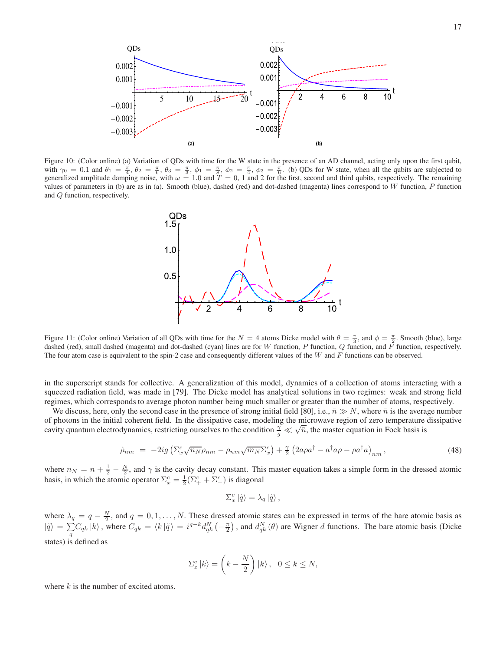

Figure 10: (Color online) (a) Variation of QDs with time for the W state in the presence of an AD channel, acting only upon the first qubit, with  $\gamma_0 = 0.1$  and  $\theta_1 = \frac{\pi}{4}$ ,  $\theta_2 = \frac{\pi}{6}$ ,  $\theta_3 = \frac{\pi}{3}$ ,  $\phi_1 = \frac{\pi}{8}$ ,  $\phi_2 = \frac{\pi}{4}$ ,  $\phi_3 = \frac{\pi}{6}$ . (b) QDs for W state, when all the qubits are subjected to generalized amplitude damping noise, with  $\omega = 1.0$  and  $T = 0$ , 1 and 2 for the first, second and third qubits, respectively. The remaining values of parameters in (b) are as in (a). Smooth (blue), dashed (red) and dot-dashed (magenta) lines correspond to  $W$  function,  $P$  function and Q function, respectively.



Figure 11: (Color online) Variation of all QDs with time for the  $N = 4$  atoms Dicke model with  $\theta = \frac{\pi}{3}$ , and  $\phi = \frac{\pi}{2}$ . Smooth (blue), large dashed (red), small dashed (magenta) and dot-dashed (cyan) lines are for W function, P function, Q function, and  $\overline{F}$  function, respectively. The four atom case is equivalent to the spin-2 case and consequently different values of the  $W$  and  $F$  functions can be observed.

in the superscript stands for collective. A generalization of this model, dynamics of a collection of atoms interacting with a squeezed radiation field, was made in [79]. The Dicke model has analytical solutions in two regimes: weak and strong field regimes, which corresponds to average photon number being much smaller or greater than the number of atoms, respectively.

We discuss, here, only the second case in the presence of strong initial field [80], i.e.,  $\bar{n} \gg N$ , where  $\bar{n}$  is the average number of photons in the initial coherent field. In the dissipative case, modeling the microwave region of zero temperature dissipative cavity quantum electrodynamics, restricting ourselves to the condition  $\frac{\gamma}{g} \ll \sqrt{\overline{n}}$ , the master equation in Fock basis is

$$
\dot{\rho}_{nm} = -2ig \left( \Sigma_x^c \sqrt{n_N} \rho_{nm} - \rho_{nm} \sqrt{m_N} \Sigma_x^c \right) + \frac{\gamma}{2} \left( 2a \rho a^\dagger - a^\dagger a \rho - \rho a^\dagger a \right)_{nm},\tag{48}
$$

where  $n_N = n + \frac{1}{2} - \frac{N}{2}$ , and  $\gamma$  is the cavity decay constant. This master equation takes a simple form in the dressed atomic basis, in which the atomic operator  $\Sigma_x^c = \frac{1}{2} (\Sigma_+^c + \Sigma_-^c)$  is diagonal

$$
\Sigma_x^c \left| \tilde{q} \right> = \lambda_q \left| \tilde{q} \right>,
$$

where  $\lambda_q = q - \frac{N}{2}$ , and  $q = 0, 1, ..., N$ . These dressed atomic states can be expressed in terms of the bare atomic basis as  $|\tilde{q}\rangle = \sum C_{qk} |k\rangle$ , where  $C_{qk} = \langle k|\tilde{q}\rangle = i^{q-k}d_{qk}^{N}(-\frac{\pi}{2})$ , and  $d_{qk}^{N}(\theta)$  are Wigner d functions. The bare atomic basis (Dicke states) is defined as

$$
\Sigma_z^c |k\rangle = \left(k - \frac{N}{2}\right) |k\rangle, \quad 0 \le k \le N,
$$

where  $k$  is the number of excited atoms.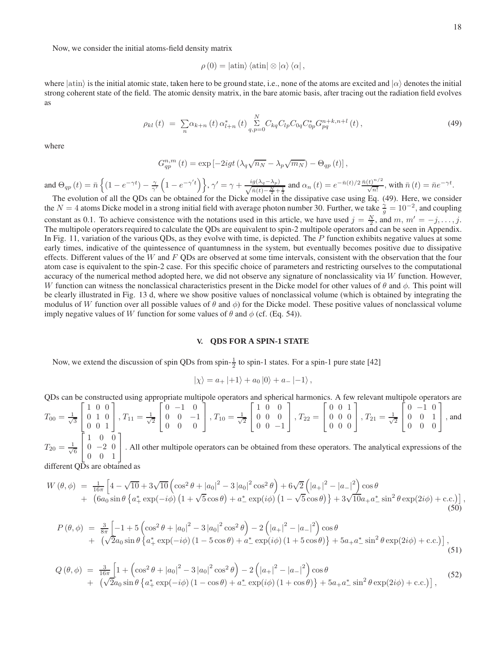Now, we consider the initial atoms-field density matrix

$$
\rho(0) = |\text{atin}\rangle \langle \text{atin}| \otimes |\alpha\rangle \langle \alpha|,
$$

where  $|\text{atin}\rangle$  is the initial atomic state, taken here to be ground state, i.e., none of the atoms are excited and  $|\alpha\rangle$  denotes the initial strong coherent state of the field. The atomic density matrix, in the bare atomic basis, after tracing out the radiation field evolves as

$$
\rho_{kl}(t) = \sum_{n} \alpha_{k+n}(t) \, \alpha_{l+n}^{*}(t) \sum_{q,p=0}^{N} C_{kq} C_{lp} C_{0q} C_{0p}^{*} G_{pq}^{n+k, n+l}(t), \qquad (49)
$$

where

$$
G_{qp}^{n,m}(t) = \exp \left[ -2igt \left( \lambda_q \sqrt{n_N} - \lambda_p \sqrt{m_N} \right) - \Theta_{qp}(t) \right],
$$

and  $\Theta_{qp}(t) = \bar{n} \left\{ (1 - e^{-\gamma t}) - \frac{\gamma}{\gamma'} \left( 1 - e^{-\gamma' t} \right) \right\}, \gamma' = \gamma + \frac{ig(\lambda_q - \lambda_p)}{\sqrt{\bar{n}(t) - \frac{N}{\gamma}}}$  $\frac{\ln(a(\lambda_q - \lambda_p))}{\ln(b) - \frac{N}{2} + \frac{1}{2}}$  and  $\alpha_n(t) = e^{-\bar{n}(t)/2} \frac{\bar{n}(t)^{n/2}}{\sqrt{n!}}$ , with  $\bar{n}(t) = \bar{n}e^{-\gamma t}$ .

The evolution of all the QDs can be obtained for the Dicke model in the dissipative case using Eq. (49). Here, we consider the  $N = 4$  atoms Dicke model in a strong initial field with average photon number 30. Further, we take  $\frac{\gamma}{g} = 10^{-2}$ , and coupling constant as 0.1. To achieve consistence with the notations used in this article, we have used  $j = \frac{N}{2}$ , and  $m, m' = -j, \ldots, j$ . The multipole operators required to calculate the QDs are equivalent to spin-2 multipole operators and can be seen in Appendix. In Fig. 11, variation of the various QDs, as they evolve with time, is depicted. The P function exhibits negative values at some early times, indicative of the quintessence of quantumness in the system, but eventually becomes positive due to dissipative effects. Different values of the W and  $F$  QDs are observed at some time intervals, consistent with the observation that the four atom case is equivalent to the spin-2 case. For this specific choice of parameters and restricting ourselves to the computational accuracy of the numerical method adopted here, we did not observe any signature of nonclassicality via  $W$  function. However, W function can witness the nonclassical characteristics present in the Dicke model for other values of  $\theta$  and  $\phi$ . This point will be clearly illustrated in Fig. 13 d, where we show positive values of nonclassical volume (which is obtained by integrating the modulus of W function over all possible values of  $\theta$  and  $\phi$ ) for the Dicke model. These positive values of nonclassical volume imply negative values of W function for some values of  $\theta$  and  $\phi$  (cf. (Eq. 54)).

## **V. QDS FOR A SPIN-1 STATE**

Now, we extend the discussion of spin QDs from spin- $\frac{1}{2}$  to spin-1 states. For a spin-1 pure state [42]

$$
|\chi\rangle = a_+ \, |+1\rangle + a_0 \, |0\rangle + a_- \, |-1\rangle \,,
$$

QDs can be constructed using appropriate multipole operators and spherical harmonics. A few relevant multipole operators are  $T_{00} = \frac{1}{\sqrt{2}}$ 3  $\sqrt{ }$  $\overline{1}$ 1 0 0 0 1 0 0 0 1 1  $\Big\}, T_{11} = \frac{1}{\sqrt{2}}$ 2  $\lceil$  $\overline{1}$  $\begin{matrix} 0 & -1 & 0 \\ 0 & 0 & 0 \\ 0 & 0 & 0 \\ 0 & 0 & 0 \\ 0 & 0 & 0 \\ 0 & 0 & 0 \\ 0 & 0 & 0 \\ 0 & 0 & 0 \\ 0 & 0 & 0 \\ 0 & 0 & 0 & 0 \\ 0 & 0 & 0 & 0 \\ 0 & 0 & 0 & 0 \\ 0 & 0 & 0 & 0 & 0 \\ 0 & 0 & 0 & 0 & 0 \\ 0 & 0 & 0 & 0 & 0 \\ 0 & 0 & 0 & 0 & 0 & 0 \\ 0 & 0 & 0 & 0 & 0 & 0 \\ 0 & 0 & 0 & 0 & 0 & 0$  $\begin{matrix} 0 & 0 & -1 \\ 0 & 0 & 0 \end{matrix}$ 0 0 0 1  $\Big\}, T_{10} = \frac{1}{\sqrt{2}}$ 2  $\lceil$  $\overline{1}$ 1 0 0 0 0 0  $0 \t 0 \t -1$ 1  $\Big\}$ ,  $T_{22}$  =  $\lceil$  $\overline{1}$ 0 0 1 0 0 0 0 0 0 1  $\Big\}$ ,  $T_{21} = \frac{1}{\sqrt{2}}$ 2  $\sqrt{ }$  $\overline{1}$  $0 -1 0$ 0 0 1 0 0 0 1 , and  $\sqrt{ }$ 1 0 0 1

 $T_{20} = \frac{1}{\sqrt{2}}$ 6  $\overline{1}$  $0 -2 0$ 0 0 1 . All other multipole operators can be obtained from these operators. The analytical expressions of the

different OD<sub>s</sub> are obtained as

$$
W(\theta,\phi) = \frac{1}{16\pi} \left[ 4 - \sqrt{10} + 3\sqrt{10} \left( \cos^2 \theta + |a_0|^2 - 3|a_0|^2 \cos^2 \theta \right) + 6\sqrt{2} \left( |a_+|^2 - |a_-|^2 \right) \cos \theta + \left( 6a_0 \sin \theta \left\{ a_+^* \exp(-i\phi) \left( 1 + \sqrt{5} \cos \theta \right) + a_-^* \exp(i\phi) \left( 1 - \sqrt{5} \cos \theta \right) \right\} + 3\sqrt{10} a_+ a_-^* \sin^2 \theta \exp(2i\phi) + c.c. \right] \right],
$$
\n(50)

$$
P(\theta, \phi) = \frac{3}{8\pi} \left[ -1 + 5 \left( \cos^2 \theta + |a_0|^2 - 3 |a_0|^2 \cos^2 \theta \right) - 2 \left( |a_+|^2 - |a_-|^2 \right) \cos \theta + \left( \sqrt{2} a_0 \sin \theta \left\{ a_+^* \exp(-i\phi) \left( 1 - 5 \cos \theta \right) + a_-^* \exp(i\phi) \left( 1 + 5 \cos \theta \right) \right\} + 5 a_+ a_-^* \sin^2 \theta \exp(2i\phi) + \text{c.c.} \right] \right],
$$
\n(51)

$$
Q(\theta,\phi) = \frac{3}{16\pi} \left[ 1 + \left( \cos^2 \theta + |a_0|^2 - 3 |a_0|^2 \cos^2 \theta \right) - 2 \left( |a_+|^2 - |a_-|^2 \right) \cos \theta + \left( \sqrt{2} a_0 \sin \theta \left\{ a_+^* \exp(-i\phi) \left( 1 - \cos \theta \right) + a_-^* \exp(i\phi) \left( 1 + \cos \theta \right) \right\} + 5a_+ a_-^* \sin^2 \theta \exp(2i\phi) + c.c. \right) \right],
$$
(52)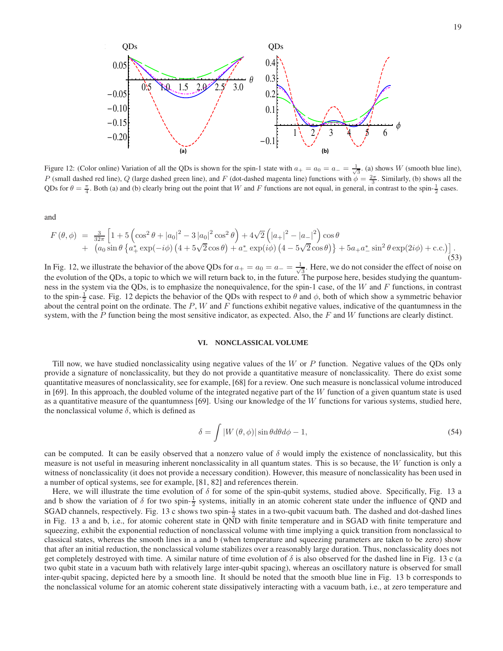

Figure 12: (Color online) Variation of all the QDs is shown for the spin-1 state with  $a_+ = a_0 = a_- = \frac{1}{\sqrt{3}}$ . (a) shows W (smooth blue line), P (small dashed red line), Q (large dashed green line), and F (dot-dashed magenta line) functions with  $\phi = \frac{2\pi}{3}$ . Similarly, (b) shows all the QDs for  $\theta = \frac{\pi}{4}$ . Both (a) and (b) clearly bring out the point that W and F functions are not equal, in general, in contrast to the spin- $\frac{1}{2}$  cases.

and

$$
F(\theta,\phi) = \frac{3}{32\pi} \left[ 1 + 5 \left( \cos^2 \theta + |a_0|^2 - 3 |a_0|^2 \cos^2 \theta \right) + 4\sqrt{2} \left( |a_+|^2 - |a_-|^2 \right) \cos \theta + \left( a_0 \sin \theta \left\{ a_+^* \exp(-i\phi) \left( 4 + 5\sqrt{2} \cos \theta \right) + a_-^* \exp(i\phi) \left( 4 - 5\sqrt{2} \cos \theta \right) \right\} + 5a_+ a_-^* \sin^2 \theta \exp(2i\phi) + c.c. \right) \right].
$$
\n(53)

In Fig. 12, we illustrate the behavior of the above QDs for  $a_+ = a_0 = a_- = \frac{1}{\sqrt{2\pi}}$  $\frac{1}{3}$ . Here, we do not consider the effect of noise on the evolution of the QDs, a topic to which we will return back to, in the future. The purpose here, besides studying the quantumness in the system via the QDs, is to emphasize the nonequivalence, for the spin-1 case, of the W and  $F$  functions, in contrast to the spin- $\frac{1}{2}$  case. Fig. 12 depicts the behavior of the QDs with respect to  $\theta$  and  $\phi$ , both of which show a symmetric behavior about the central point on the ordinate. The  $P$ ,  $W$  and  $F$  functions exhibit negative values, indicative of the quantumness in the system, with the  $P$  function being the most sensitive indicator, as expected. Also, the  $F$  and  $W$  functions are clearly distinct.

#### **VI. NONCLASSICAL VOLUME**

Till now, we have studied nonclassicality using negative values of the W or P function. Negative values of the QDs only provide a signature of nonclassicality, but they do not provide a quantitative measure of nonclassicality. There do exist some quantitative measures of nonclassicality, see for example, [68] for a review. One such measure is nonclassical volume introduced in [69]. In this approach, the doubled volume of the integrated negative part of the  $W$  function of a given quantum state is used as a quantitative measure of the quantumness [69]. Using our knowledge of the  $W$  functions for various systems, studied here, the nonclassical volume  $\delta$ , which is defined as

$$
\delta = \int |W(\theta, \phi)| \sin \theta d\theta d\phi - 1, \qquad (54)
$$

can be computed. It can be easily observed that a nonzero value of  $\delta$  would imply the existence of nonclassicality, but this measure is not useful in measuring inherent nonclassicality in all quantum states. This is so because, the  $W$  function is only a witness of nonclassicality (it does not provide a necessary condition). However, this measure of nonclassicality has been used in a number of optical systems, see for example, [81, 82] and references therein.

Here, we will illustrate the time evolution of  $\delta$  for some of the spin-qubit systems, studied above. Specifically, Fig. 13 a and b show the variation of  $\delta$  for two spin- $\frac{1}{2}$  systems, initially in an atomic coherent state under the influence of QND and SGAD channels, respectively. Fig. 13 c shows two spin- $\frac{1}{2}$  states in a two-qubit vacuum bath. The dashed and dot-dashed lines in Fig. 13 a and b, i.e., for atomic coherent state in QND with finite temperature and in SGAD with finite temperature and squeezing, exhibit the exponential reduction of nonclassical volume with time implying a quick transition from nonclassical to classical states, whereas the smooth lines in a and b (when temperature and squeezing parameters are taken to be zero) show that after an initial reduction, the nonclassical volume stabilizes over a reasonably large duration. Thus, nonclassicality does not get completely destroyed with time. A similar nature of time evolution of  $\delta$  is also observed for the dashed line in Fig. 13 c (a two qubit state in a vacuum bath with relatively large inter-qubit spacing), whereas an oscillatory nature is observed for small inter-qubit spacing, depicted here by a smooth line. It should be noted that the smooth blue line in Fig. 13 b corresponds to the nonclassical volume for an atomic coherent state dissipatively interacting with a vacuum bath, i.e., at zero temperature and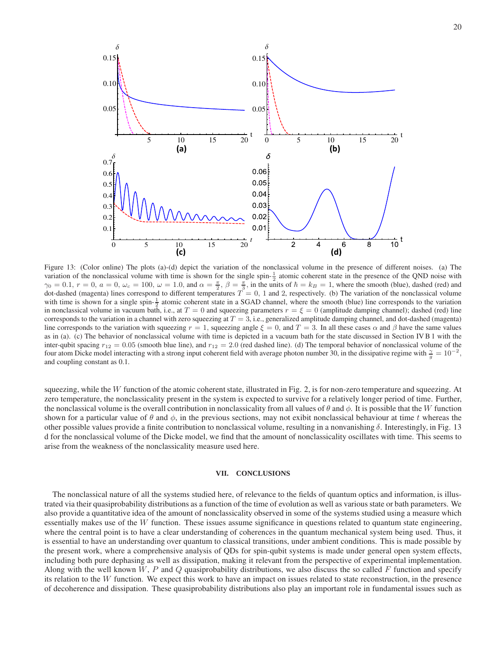

Figure 13: (Color online) The plots (a)-(d) depict the variation of the nonclassical volume in the presence of different noises. (a) The variation of the nonclassical volume with time is shown for the single spin- $\frac{1}{2}$  atomic coherent state in the presence of the QND noise with  $\gamma_0 = 0.1$ ,  $r = 0$ ,  $a = 0$ ,  $\omega_c = 100$ ,  $\omega = 1.0$ , and  $\alpha = \frac{\pi}{2}$ ,  $\beta = \frac{\pi}{3}$ , in the units of  $\hbar = k_B = 1$ , where the smooth (blue), dashed (red) and dot-dashed (magenta) lines correspond to different temperatures  $T = 0$ , 1 and 2, respectively. (b) The variation of the nonclassical volume with time is shown for a single spin- $\frac{1}{2}$  atomic coherent state in a SGAD channel, where the smooth (blue) line corresponds to the variation in nonclassical volume in vacuum bath, i.e., at  $T = 0$  and squeezing parameters  $r = \xi = 0$  (amplitude damping channel); dashed (red) line corresponds to the variation in a channel with zero squeezing at  $T = 3$ , i.e., generalized amplitude damping channel, and dot-dashed (magenta) line corresponds to the variation with squeezing  $r = 1$ , squeezing angle  $\xi = 0$ , and  $T = 3$ . In all these cases  $\alpha$  and  $\beta$  have the same values as in (a). (c) The behavior of nonclassical volume with time is depicted in a vacuum bath for the state discussed in Section IV B 1 with the inter-qubit spacing  $r_{12} = 0.05$  (smooth blue line), and  $r_{12} = 2.0$  (red dashed line). (d) The temporal behavior of nonclassical volume of the four atom Dicke model interacting with a strong input coherent field with average photon number 30, in the dissipative regime with  $\frac{\gamma}{g} = 10^{-2}$ , and coupling constant as 0.1.

squeezing, while the W function of the atomic coherent state, illustrated in Fig. 2, is for non-zero temperature and squeezing. At zero temperature, the nonclassicality present in the system is expected to survive for a relatively longer period of time. Further, the nonclassical volume is the overall contribution in nonclassicality from all values of  $\theta$  and  $\phi$ . It is possible that the W function shown for a particular value of  $\theta$  and  $\phi$ , in the previous sections, may not exibit nonclassical behaviour at time t whereas the other possible values provide a finite contribution to nonclassical volume, resulting in a nonvanishing δ. Interestingly, in Fig. 13 d for the nonclassical volume of the Dicke model, we find that the amount of nonclassicality oscillates with time. This seems to arise from the weakness of the nonclassicality measure used here.

# **VII. CONCLUSIONS**

The nonclassical nature of all the systems studied here, of relevance to the fields of quantum optics and information, is illustrated via their quasiprobability distributions as a function of the time of evolution as well as various state or bath parameters. We also provide a quantitative idea of the amount of nonclassicality observed in some of the systems studied using a measure which essentially makes use of the W function. These issues assume significance in questions related to quantum state engineering, where the central point is to have a clear understanding of coherences in the quantum mechanical system being used. Thus, it is essential to have an understanding over quantum to classical transitions, under ambient conditions. This is made possible by the present work, where a comprehensive analysis of QDs for spin-qubit systems is made under general open system effects, including both pure dephasing as well as dissipation, making it relevant from the perspective of experimental implementation. Along with the well known W, P and Q quasiprobability distributions, we also discuss the so called F function and specify its relation to the  $W$  function. We expect this work to have an impact on issues related to state reconstruction, in the presence of decoherence and dissipation. These quasiprobability distributions also play an important role in fundamental issues such as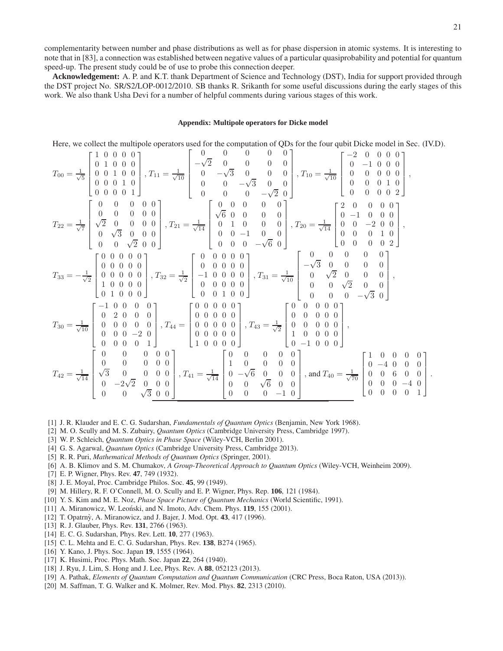.

complementarity between number and phase distributions as well as for phase dispersion in atomic systems. It is interesting to note that in [83], a connection was established between negative values of a particular quasiprobability and potential for quantum speed-up. The present study could be of use to probe this connection deeper.

**Acknowledgement:** A. P. and K.T. thank Department of Science and Technology (DST), India for support provided through the DST project No. SR/S2/LOP-0012/2010. SB thanks R. Srikanth for some useful discussions during the early stages of this work. We also thank Usha Devi for a number of helpful comments during various stages of this work.

#### **Appendix: Multipole operators for Dicke model**

Here, we collect the multipole operators used for the computation of QDs for the four qubit Dicke model in Sec. (IV.D).

$$
T_{00} = \frac{1}{\sqrt{5}} \begin{bmatrix} 1 & 0 & 0 & 0 & 0 \\ 0 & 1 & 0 & 0 & 0 \\ 0 & 0 & 1 & 0 & 0 \\ 0 & 0 & 0 & 1 & 0 \\ 0 & 0 & 0 & 0 & 1 \\ 0 & 0 & 0 & 0 & 1 \\ 0 & 0 & 0 & 0 & 0 \\ 0 & 0 & 0 & 0 & 0 \\ 0 & 0 & \sqrt{2} & 0 & 0 \\ 0 & 0 & 0 & 0 & 0 \\ 0 & 0 & 0 & 0 & 0 \\ 0 & 0 & 0 & 0 & 0 \\ 0 & 0 & 0 & 0 & 0 \\ 0 & 0 & 0 & 0 & 0 \\ 0 & 0 & 0 & 0 & 0 \\ 0 & 0 & 0 & 0 & 0 \\ 0 & 0 & 0 & 0 & 0 \\ 0 & 0 & 0 & 0 & 0 \\ 0 & 0 & 0 & 0 & 0 \\ 0 & 0 & 0 & 0 & 0 \\ 0 & 0 & 0 & 0 & 0 \\ 0 & 0 & 0 & 0 & 0 \\ 0 & 0 & 0 & 0 & 0 \\ 0 & 0 & 0 & 0 & 0 \\ 0 & 0 & 0 & 0 & 0 \\ 0 & 0 & 0 & 0 & 0 \\ 0 & 0 & 0 & 0 & 0 \\ 0 & 0 & 0 & 0 & 0 \\ 0 & 0 & 0 & 0 & 0 \\ 0 & 0 & 0 & 0 & 0 \\ 0 & 0 & 0 & 0 & 0 \\ 0 & 0 & 0 & 0 & 0 \\ 0 & 0 & 0 & 0 & 0 \\ 0 & 0 & 0 & 0 & 0 \\ 0 & 0 & 0 & 0 & 0 \\ 0 & 0 & 0 & 0 & 0 \\ 0 & 0 & 0 & 0 & 0 \\ 0 & 0 & 0 & 0 & 0 \\ 0 & 0 & 0 & 0 & 0 \\ 0 & 0 & 0 & 0 & 0 \\ 0 & 0 & 0 & 0 & 0 \\ 0 & 0 & 0 & 0 & 0 \\ 0 & 0 & 0 & 0 & 0 \\ 0 & 0 & 0 & 0 & 0 \\ 0 & 0 & 0 & 0 & 0 \\ 0 & 0 & 0 & 0 & 0 \\ 0 & 0 & 0 & 0 & 0 \\ 0 & 0 & 0 & 0 & 0 \\ 0 & 0 & 0 & 0 & 0
$$

- [1] J. R. Klauder and E. C. G. Sudarshan, *Fundamentals of Quantum Optics* (Benjamin, New York 1968).
- [2] M. O. Scully and M. S. Zubairy, *Quantum Optics* (Cambridge University Press, Cambridge 1997).
- [3] W. P. Schleich, *Quantum Optics in Phase Space* (Wiley-VCH, Berlin 2001).
- [4] G. S. Agarwal, *Quantum Optics* (Cambridge University Press, Cambridge 2013).
- [5] R. R. Puri, *Mathematical Methods of Quantum Optics* (Springer, 2001).
- [6] A. B. Klimov and S. M. Chumakov, *A Group-Theoretical Approach to Quantum Optics* (Wiley-VCH, Weinheim 2009).
- [7] E. P. Wigner, Phys. Rev. **47**, 749 (1932).
- [8] J. E. Moyal, Proc. Cambridge Philos. Soc. **45**, 99 (1949).
- [9] M. Hillery, R. F. O'Connell, M. O. Scully and E. P. Wigner, Phys. Rep. **106**, 121 (1984).
- [10] Y. S. Kim and M. E. Noz, *Phase Space Picture of Quantum Mechanics* (World Scientific, 1991).
- [11] A. Miranowicz, W. Leonski, and N. Imoto, Adv. Chem. Phys. **119**, 155 (2001).
- [12] T. Opatrny, A. Miranowicz, and J. Bajer, J. Mod. Opt. ` **43**, 417 (1996).
- [13] R. J. Glauber, Phys. Rev. **131**, 2766 (1963).
- [14] E. C. G. Sudarshan, Phys. Rev. Lett. **10**, 277 (1963).
- [15] C. L. Mehta and E. C. G. Sudarshan, Phys. Rev. **138**, B274 (1965).
- [16] Y. Kano, J. Phys. Soc. Japan **19**, 1555 (1964).
- [17] K. Husimi, Proc. Phys. Math. Soc. Japan **22**, 264 (1940).
- [18] J. Ryu, J. Lim, S. Hong and J. Lee, Phys. Rev. A **88**, 052123 (2013).
- [19] A. Pathak, *Elements of Quantum Computation and Quantum Communication* (CRC Press, Boca Raton, USA (2013)).
- [20] M. Saffman, T. G. Walker and K. Molmer, Rev. Mod. Phys. **82**, 2313 (2010).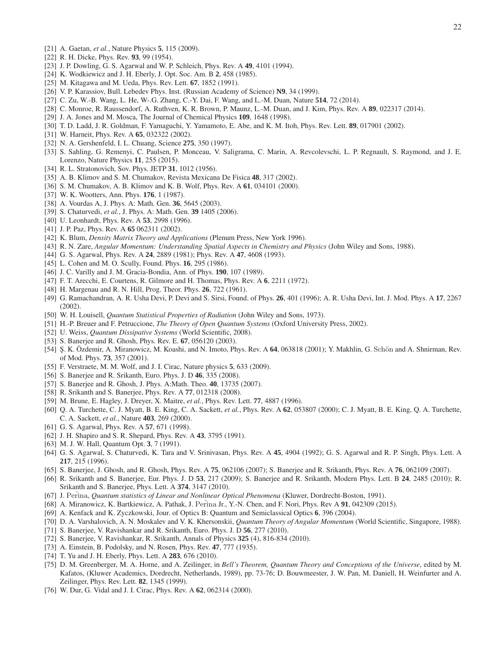- [21] A. Gaetan, *et al.*, Nature Physics **5**, 115 (2009).
- [22] R. H. Dicke, Phys. Rev. **93**, 99 (1954).
- [23] J. P. Dowling, G. S. Agarwal and W. P. Schleich, Phys. Rev. A **49**, 4101 (1994).
- [24] K. Wodkiewicz and J. H. Eberly, J. Opt. Soc. Am. B **2**, 458 (1985).
- [25] M. Kitagawa and M. Ueda, Phys. Rev. Lett. **67**, 1852 (1991).
- [26] V. P. Karassiov, Bull. Lebedev Phys. Inst. (Russian Academy of Science) **N9**, 34 (1999).
- [27] C. Zu, W.-B. Wang, L. He, W-.G. Zhang, C.-Y. Dai, F. Wang, and L.-M. Duan, Nature **514**, 72 (2014).
- [28] C. Monroe, R. Raussendorf, A. Ruthven, K. R. Brown, P. Maunz, L.-M. Duan, and J. Kim, Phys. Rev. A **89**, 022317 (2014).
- [29] J. A. Jones and M. Mosca, The Journal of Chemical Physics **109**, 1648 (1998).
- [30] T. D. Ladd, J. R. Goldman, F. Yamaguchi, Y. Yamamoto, E. Abe, and K. M. Itoh, Phys. Rev. Lett. **89**, 017901 (2002).
- [31] W. Harneit, Phys. Rev. A **65**, 032322 (2002).
- [32] N. A. Gershenfeld, I. L. Chuang, Science **275**, 350 (1997).
- [33] S. Sahling, G. Remenyi, C. Paulsen, P. Monceau, V. Saligrama, C. Marin, A. Revcolevschi, L. P. Regnault, S. Raymond, and J. E. Lorenzo, Nature Physics **11**, 255 (2015).
- [34] R. L. Stratonovich, Sov. Phys. JETP **31**, 1012 (1956).
- [35] A. B. Klimov and S. M. Chumakov, Revista Mexicana De Fisica **48**, 317 (2002).
- [36] S. M. Chumakov, A. B. Klimov and K. B. Wolf, Phys. Rev. A **61**, 034101 (2000).
- [37] W. K. Wootters, Ann. Phys. **176**, 1 (1987).
- [38] A. Vourdas A, J. Phys. A: Math. Gen. **36**, 5645 (2003).
- [39] S. Chaturvedi, *et al.*, J. Phys. A: Math. Gen. **39** 1405 (2006).
- [40] U. Leonhardt, Phys. Rev. A **53**, 2998 (1996).
- [41] J. P. Paz, Phys. Rev. A **65** 062311 (2002).
- [42] K. Blum, *Density Matrix Theory and Applications* (Plenum Press, New York 1996).
- [43] R. N. Zare, *Angular Momentum: Understanding Spatial Aspects in Chemistry and Physics* (John Wiley and Sons, 1988).
- [44] G. S. Agarwal, Phys. Rev. A **24**, 2889 (1981); Phys. Rev. A **47**, 4608 (1993).
- [45] L. Cohen and M. O. Scully, Found. Phys. **16**, 295 (1986).
- [46] J. C. Varilly and J. M. Gracia-Bondia, Ann. of Phys. **190**, 107 (1989).
- [47] F. T. Arecchi, E. Courtens, R. Gilmore and H. Thomas, Phys. Rev. A **6**, 2211 (1972).
- [48] H. Margenau and R. N. Hill, Prog. Theor. Phys. **26**, 722 (1961).
- [49] G. Ramachandran, A. R. Usha Devi, P. Devi and S. Sirsi, Found. of Phys. **26**, 401 (1996); A. R. Usha Devi, Int. J. Mod. Phys. A **17**, 2267 (2002).
- [50] W. H. Louisell, *Quantum Statistical Properties of Radiation* (John Wiley and Sons, 1973).
- [51] H.-P. Breuer and F. Petruccione, *The Theory of Open Quantum Systems* (Oxford University Press, 2002).
- [52] U. Weiss, *Quantum Dissipative Systems* (World Scientific, 2008).
- [53] S. Banerjee and R. Ghosh, Phys. Rev. E. **67**, 056120 (2003).
- [54] S. K. Özdemir, A. Miranowicz, M. Koashi, and N. Imoto, Phys. Rev. A 64, 063818 (2001); Y. Makhlin, G. Schön and A. Shnirman, Rev. of Mod. Phys. **73**, 357 (2001).
- [55] F. Verstraete, M. M. Wolf, and J. I. Cirac, Nature physics **5**, 633 (2009).
- [56] S. Banerjee and R. Srikanth, Euro. Phys. J. D **46**, 335 (2008).
- [57] S. Banerjee and R. Ghosh, J. Phys. A:Math. Theo. **40**, 13735 (2007).
- [58] R. Srikanth and S. Banerjee, Phys. Rev. A **77**, 012318 (2008).
- [59] M. Brune, E. Hagley, J. Dreyer, X. Maitre, *et al.*, Phys. Rev. Lett. **77**, 4887 (1996).
- [60] Q. A. Turchette, C. J. Myatt, B. E. King, C. A. Sackett, *et al.*, Phys. Rev. A **62**, 053807 (2000); C. J. Myatt, B. E. King, Q. A. Turchette, C. A. Sackett, *et al.*, Nature **403**, 269 (2000).
- [61] G. S. Agarwal, Phys. Rev. A **57**, 671 (1998).
- [62] J. H. Shapiro and S. R. Shepard, Phys. Rev. A **43**, 3795 (1991).
- [63] M. J. W. Hall, Quantum Opt. **3**, 7 (1991).
- [64] G. S. Agarwal, S. Chaturvedi, K. Tara and V. Srinivasan, Phys. Rev. A **45**, 4904 (1992); G. S. Agarwal and R. P. Singh, Phys. Lett. A **217**, 215 (1996).
- [65] S. Banerjee, J. Ghosh, and R. Ghosh, Phys. Rev. A **75**, 062106 (2007); S. Banerjee and R. Srikanth, Phys. Rev. A **76**, 062109 (2007).
- [66] R. Srikanth and S. Banerjee, Eur. Phys. J. D **53**, 217 (2009); S. Banerjee and R. Srikanth, Modern Phys. Lett. B **24**, 2485 (2010); R. Srikanth and S. Banerjee, Phys. Lett. A **374**, 3147 (2010).
- [67] J. Perina, *Quantum statistics of Linear and Nonlinear Optical Phenomena* (Kluwer, Dordrecht-Boston, 1991).
- [68] A. Miranowicz, K. Bartkiewicz, A. Pathak, J. Perina Jr., Y.-N. Chen, and F. Nori, Phys. Rev A **91**, 042309 (2015).
- [69] A. Kenfack and K. Zyczkowski, Jour. of Optics B: Quantum and Semiclassical Optics **6**, 396 (2004).
- [70] D. A. Varshalovich, A. N. Moskalev and V. K. Khersonskii, *Quantum Theory of Angular Momentum* (World Scientific, Singapore, 1988).
- [71] S. Banerjee, V. Ravishankar and R. Srikanth, Euro. Phys. J. D **56**, 277 (2010).
- [72] S. Banerjee, V. Ravishankar, R. Srikanth, Annals of Physics **325** (4), 816-834 (2010).
- [73] A. Einstein, B. Podolsky, and N. Rosen, Phys. Rev. **47**, 777 (1935).
- [74] T. Yu and J. H. Eberly, Phys. Lett. A **283**, 676 (2010).
- [75] D. M. Greenberger, M. A. Horne, and A. Zeilinger, in *Bell's Theorem, Quantum Theory and Conceptions of the Universe*, edited by M. Kafatos, (Kluwer Academics, Dordrecht, Netherlands, 1989), pp. 73-76; D. Bouwmeester, J. W. Pan, M. Daniell, H. Weinfurter and A. Zeilinger, Phys. Rev. Lett. **82**, 1345 (1999).
- [76] W. Dur, G. Vidal and J. I. Cirac, Phys. Rev. A **62**, 062314 (2000).